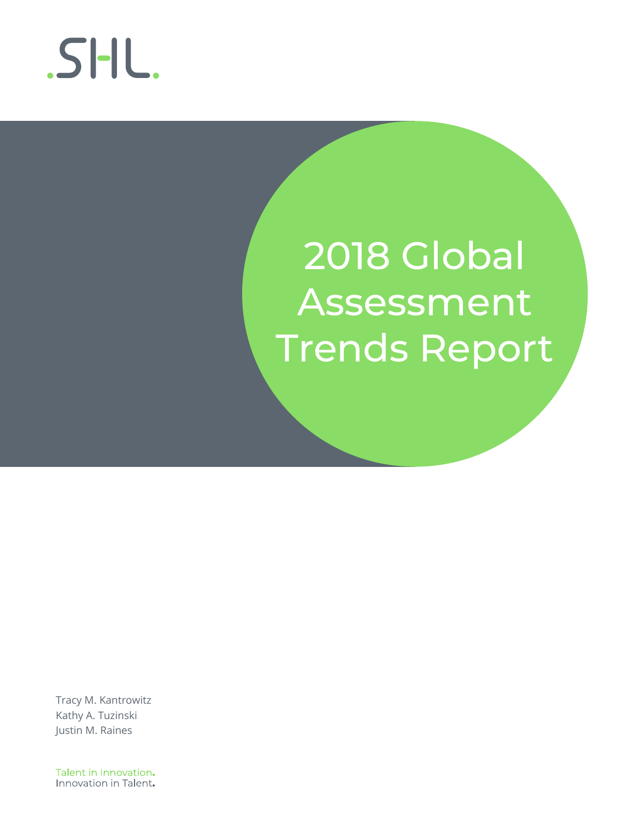

# 2018 Global Assessment Trends Report

Tracy M. Kantrowitz Kathy A. Tuzinski Justin M. Raines

Talent in Innovation. Innovation in Talent.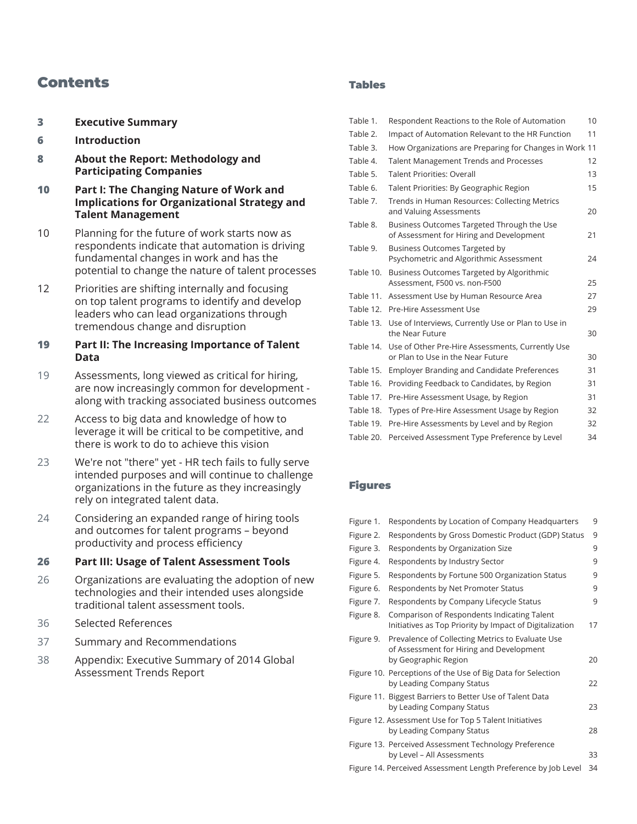# **Contents** Tables

- **3 Executive Summary**
- **6 Introduction**
- **8 About the Report: Methodology and Participating Companies**
- **10 Part I: The Changing Nature of Work and Implications for Organizational Strategy and Talent Management**
- 10 Planning for the future of work starts now as respondents indicate that automation is driving fundamental changes in work and has the potential to change the nature of talent processes
- 12 Priorities are shifting internally and focusing on top talent programs to identify and develop leaders who can lead organizations through tremendous change and disruption

## **19 Part II: The Increasing Importance of Talent Data**

- 19 Assessments, long viewed as critical for hiring, are now increasingly common for development along with tracking associated business outcomes
- 22 Access to big data and knowledge of how to leverage it will be critical to be competitive, and there is work to do to achieve this vision
- 23 We're not "there" yet HR tech fails to fully serve intended purposes and will continue to challenge organizations in the future as they increasingly rely on integrated talent data.
- 24 Considering an expanded range of hiring tools and outcomes for talent programs – beyond productivity and process efficiency

## **26 Part III: Usage of Talent Assessment Tools**

- 26 Organizations are evaluating the adoption of new technologies and their intended uses alongside traditional talent assessment tools.
- 36 Selected References
- 37 Summary and Recommendations
- 38 Appendix: Executive Summary of 2014 Global Assessment Trends Report

| Table 1.  | Respondent Reactions to the Role of Automation                                         | 10 <sup>1</sup> |
|-----------|----------------------------------------------------------------------------------------|-----------------|
| Table 2.  | Impact of Automation Relevant to the HR Function                                       | 11              |
| Table 3.  | How Organizations are Preparing for Changes in Work 11                                 |                 |
| Table 4.  | <b>Talent Management Trends and Processes</b>                                          | 12              |
| Table 5.  | <b>Talent Priorities: Overall</b>                                                      | 13              |
| Table 6.  | Talent Priorities: By Geographic Region                                                | 15              |
| Table 7.  | Trends in Human Resources: Collecting Metrics<br>and Valuing Assessments               | 20              |
| Table 8.  | Business Outcomes Targeted Through the Use<br>of Assessment for Hiring and Development | 21              |
| Table 9.  | Business Outcomes Targeted by<br>Psychometric and Algorithmic Assessment               | 24              |
| Table 10. | Business Outcomes Targeted by Algorithmic<br>Assessment, F500 vs. non-F500             | 25              |
| Table 11. | Assessment Use by Human Resource Area                                                  | 27              |
| Table 12. | Pre-Hire Assessment Use                                                                | 29              |
| Table 13. | Use of Interviews, Currently Use or Plan to Use in<br>the Near Future                  | 30              |
| Table 14. | Use of Other Pre-Hire Assessments, Currently Use<br>or Plan to Use in the Near Future  | 30              |
| Table 15. | <b>Employer Branding and Candidate Preferences</b>                                     | 31              |
| Table 16. | Providing Feedback to Candidates, by Region                                            | 31              |
| Table 17. | Pre-Hire Assessment Usage, by Region                                                   | 31              |
| Table 18. | Types of Pre-Hire Assessment Usage by Region                                           | 32              |
| Table 19. | Pre-Hire Assessments by Level and by Region                                            | 32              |
| Table 20. | Perceived Assessment Type Preference by Level                                          | 34              |

## Figures

| Figure 1. | Respondents by Location of Company Headquarters                                                                      | 9  |
|-----------|----------------------------------------------------------------------------------------------------------------------|----|
| Figure 2. | Respondents by Gross Domestic Product (GDP) Status                                                                   | 9  |
| Figure 3. | Respondents by Organization Size                                                                                     | 9  |
| Figure 4. | Respondents by Industry Sector                                                                                       | 9  |
| Figure 5. | Respondents by Fortune 500 Organization Status                                                                       | 9  |
| Figure 6. | Respondents by Net Promoter Status                                                                                   | 9  |
| Figure 7. | Respondents by Company Lifecycle Status                                                                              | 9  |
| Figure 8. | Comparison of Respondents Indicating Talent<br>Initiatives as Top Priority by Impact of Digitalization               | 17 |
| Figure 9. | Prevalence of Collecting Metrics to Evaluate Use<br>of Assessment for Hiring and Development<br>by Geographic Region | 20 |
|           | Figure 10. Perceptions of the Use of Big Data for Selection<br>by Leading Company Status                             | 22 |
|           | Figure 11. Biggest Barriers to Better Use of Talent Data<br>by Leading Company Status                                | 23 |
|           | Figure 12. Assessment Use for Top 5 Talent Initiatives<br>by Leading Company Status                                  | 28 |
|           | Figure 13. Perceived Assessment Technology Preference<br>by Level - All Assessments                                  | 33 |
|           | Figure 14. Perceived Assessment Length Preference by Job Level                                                       | 34 |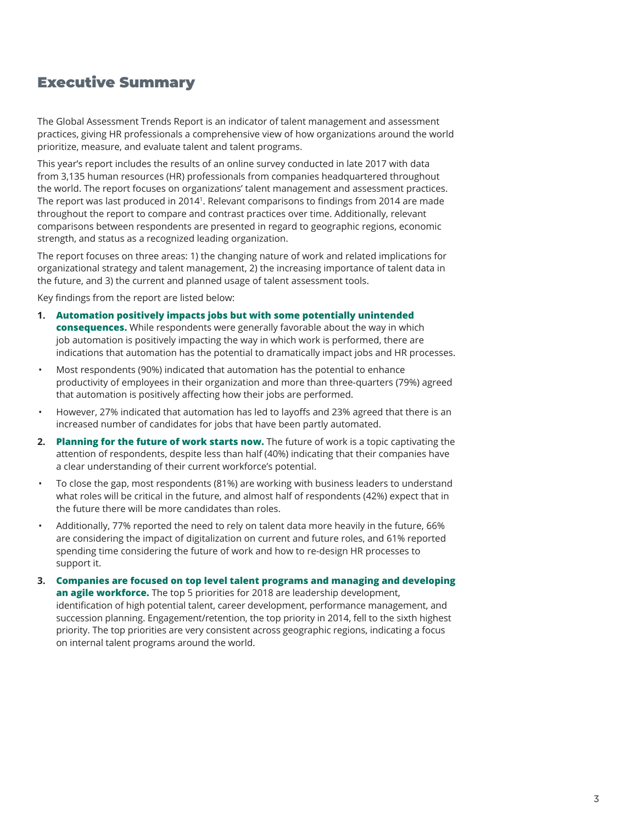# Executive Summary

The Global Assessment Trends Report is an indicator of talent management and assessment practices, giving HR professionals a comprehensive view of how organizations around the world prioritize, measure, and evaluate talent and talent programs.

This year's report includes the results of an online survey conducted in late 2017 with data from 3,135 human resources (HR) professionals from companies headquartered throughout the world. The report focuses on organizations' talent management and assessment practices. The report was last produced in 20141. Relevant comparisons to findings from 2014 are made throughout the report to compare and contrast practices over time. Additionally, relevant comparisons between respondents are presented in regard to geographic regions, economic strength, and status as a recognized leading organization.

The report focuses on three areas: 1) the changing nature of work and related implications for organizational strategy and talent management, 2) the increasing importance of talent data in the future, and 3) the current and planned usage of talent assessment tools.

Key findings from the report are listed below:

- **1. Automation positively impacts jobs but with some potentially unintended consequences.** While respondents were generally favorable about the way in which job automation is positively impacting the way in which work is performed, there are indications that automation has the potential to dramatically impact jobs and HR processes.
- Most respondents (90%) indicated that automation has the potential to enhance productivity of employees in their organization and more than three-quarters (79%) agreed that automation is positively affecting how their jobs are performed.
- However, 27% indicated that automation has led to layoffs and 23% agreed that there is an increased number of candidates for jobs that have been partly automated.
- **2. Planning for the future of work starts now.** The future of work is a topic captivating the attention of respondents, despite less than half (40%) indicating that their companies have a clear understanding of their current workforce's potential.
- To close the gap, most respondents (81%) are working with business leaders to understand what roles will be critical in the future, and almost half of respondents (42%) expect that in the future there will be more candidates than roles.
- Additionally, 77% reported the need to rely on talent data more heavily in the future, 66% are considering the impact of digitalization on current and future roles, and 61% reported spending time considering the future of work and how to re-design HR processes to support it.
- **3. Companies are focused on top level talent programs and managing and developing an agile workforce.** The top 5 priorities for 2018 are leadership development, identification of high potential talent, career development, performance management, and succession planning. Engagement/retention, the top priority in 2014, fell to the sixth highest priority. The top priorities are very consistent across geographic regions, indicating a focus on internal talent programs around the world.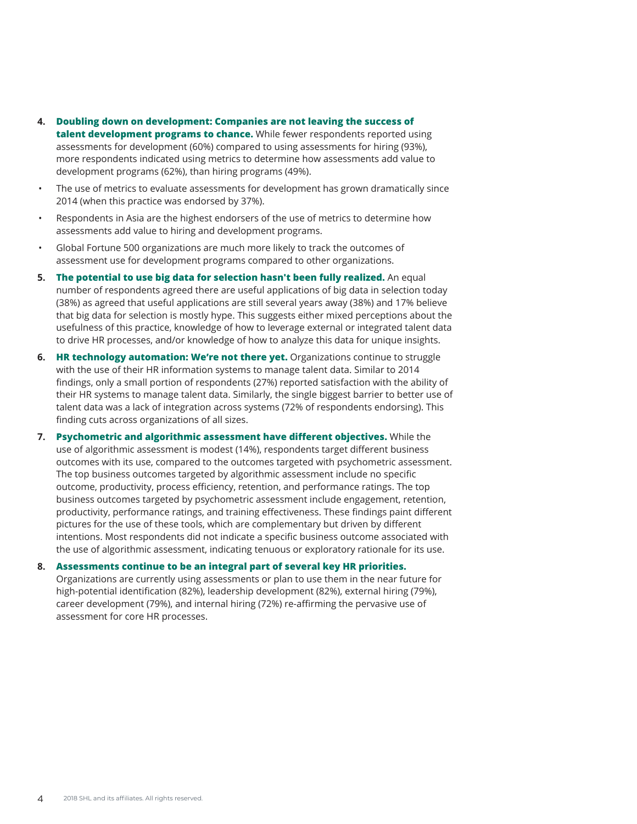- **4. Doubling down on development: Companies are not leaving the success of talent development programs to chance.** While fewer respondents reported using assessments for development (60%) compared to using assessments for hiring (93%), more respondents indicated using metrics to determine how assessments add value to development programs (62%), than hiring programs (49%).
- The use of metrics to evaluate assessments for development has grown dramatically since 2014 (when this practice was endorsed by 37%).
- Respondents in Asia are the highest endorsers of the use of metrics to determine how assessments add value to hiring and development programs.
- Global Fortune 500 organizations are much more likely to track the outcomes of assessment use for development programs compared to other organizations.
- **5. The potential to use big data for selection hasn't been fully realized.** An equal number of respondents agreed there are useful applications of big data in selection today (38%) as agreed that useful applications are still several years away (38%) and 17% believe that big data for selection is mostly hype. This suggests either mixed perceptions about the usefulness of this practice, knowledge of how to leverage external or integrated talent data to drive HR processes, and/or knowledge of how to analyze this data for unique insights.
- **6. HR technology automation: We're not there yet.** Organizations continue to struggle with the use of their HR information systems to manage talent data. Similar to 2014 findings, only a small portion of respondents (27%) reported satisfaction with the ability of their HR systems to manage talent data. Similarly, the single biggest barrier to better use of talent data was a lack of integration across systems (72% of respondents endorsing). This finding cuts across organizations of all sizes.
- **7. Psychometric and algorithmic assessment have different objectives.** While the use of algorithmic assessment is modest (14%), respondents target different business outcomes with its use, compared to the outcomes targeted with psychometric assessment. The top business outcomes targeted by algorithmic assessment include no specific outcome, productivity, process efficiency, retention, and performance ratings. The top business outcomes targeted by psychometric assessment include engagement, retention, productivity, performance ratings, and training effectiveness. These findings paint different pictures for the use of these tools, which are complementary but driven by different intentions. Most respondents did not indicate a specific business outcome associated with the use of algorithmic assessment, indicating tenuous or exploratory rationale for its use.
- **8. Assessments continue to be an integral part of several key HR priorities.** Organizations are currently using assessments or plan to use them in the near future for high-potential identification (82%), leadership development (82%), external hiring (79%), career development (79%), and internal hiring (72%) re-affirming the pervasive use of assessment for core HR processes.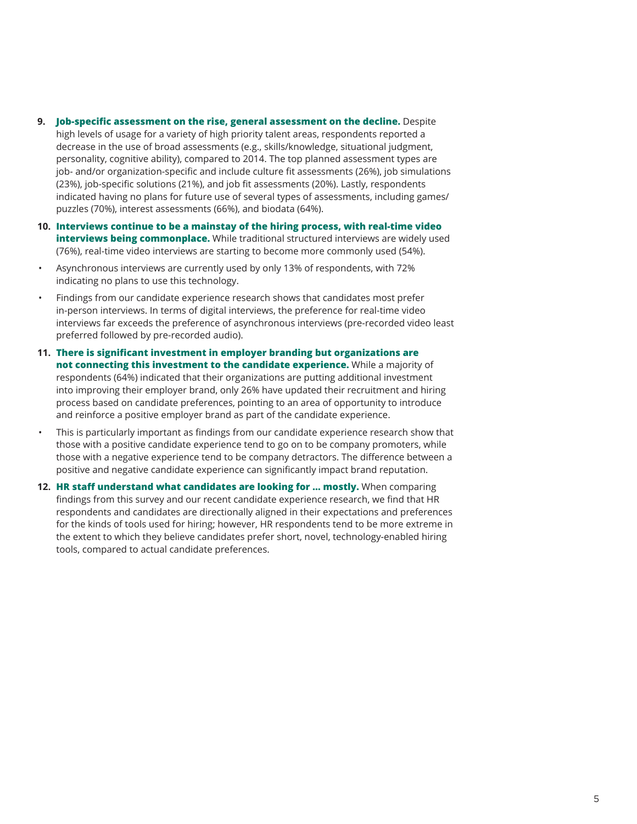- **9. Job-specific assessment on the rise, general assessment on the decline.** Despite high levels of usage for a variety of high priority talent areas, respondents reported a decrease in the use of broad assessments (e.g., skills/knowledge, situational judgment, personality, cognitive ability), compared to 2014. The top planned assessment types are job- and/or organization-specific and include culture fit assessments (26%), job simulations (23%), job-specific solutions (21%), and job fit assessments (20%). Lastly, respondents indicated having no plans for future use of several types of assessments, including games/ puzzles (70%), interest assessments (66%), and biodata (64%).
- **10. Interviews continue to be a mainstay of the hiring process, with real-time video interviews being commonplace.** While traditional structured interviews are widely used (76%), real-time video interviews are starting to become more commonly used (54%).
- Asynchronous interviews are currently used by only 13% of respondents, with 72% indicating no plans to use this technology.
- Findings from our candidate experience research shows that candidates most prefer in-person interviews. In terms of digital interviews, the preference for real-time video interviews far exceeds the preference of asynchronous interviews (pre-recorded video least preferred followed by pre-recorded audio).
- **11. There is significant investment in employer branding but organizations are not connecting this investment to the candidate experience.** While a majority of respondents (64%) indicated that their organizations are putting additional investment into improving their employer brand, only 26% have updated their recruitment and hiring process based on candidate preferences, pointing to an area of opportunity to introduce and reinforce a positive employer brand as part of the candidate experience.
- This is particularly important as findings from our candidate experience research show that those with a positive candidate experience tend to go on to be company promoters, while those with a negative experience tend to be company detractors. The difference between a positive and negative candidate experience can significantly impact brand reputation.
- **12. HR staff understand what candidates are looking for … mostly.** When comparing findings from this survey and our recent candidate experience research, we find that HR respondents and candidates are directionally aligned in their expectations and preferences for the kinds of tools used for hiring; however, HR respondents tend to be more extreme in the extent to which they believe candidates prefer short, novel, technology-enabled hiring tools, compared to actual candidate preferences.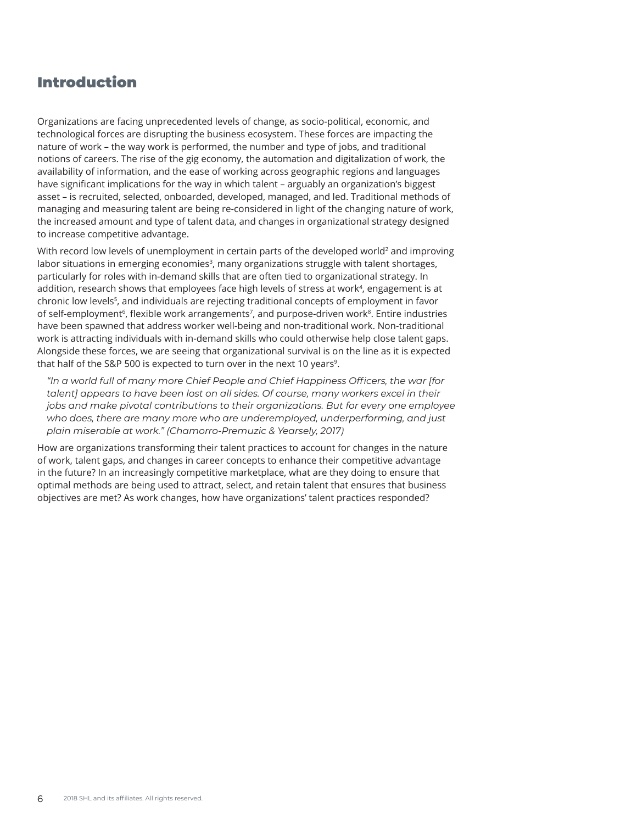# Introduction

Organizations are facing unprecedented levels of change, as socio-political, economic, and technological forces are disrupting the business ecosystem. These forces are impacting the nature of work – the way work is performed, the number and type of jobs, and traditional notions of careers. The rise of the gig economy, the automation and digitalization of work, the availability of information, and the ease of working across geographic regions and languages have significant implications for the way in which talent – arguably an organization's biggest asset – is recruited, selected, onboarded, developed, managed, and led. Traditional methods of managing and measuring talent are being re-considered in light of the changing nature of work, the increased amount and type of talent data, and changes in organizational strategy designed to increase competitive advantage.

With record low levels of unemployment in certain parts of the developed world<sup>2</sup> and improving labor situations in emerging economies<sup>3</sup>, many organizations struggle with talent shortages, particularly for roles with in-demand skills that are often tied to organizational strategy. In addition, research shows that employees face high levels of stress at work4, engagement is at chronic low levels<sup>5</sup>, and individuals are rejecting traditional concepts of employment in favor of self-employment<sup>6</sup>, flexible work arrangements<sup>7</sup>, and purpose-driven work<sup>8</sup>. Entire industries have been spawned that address worker well-being and non-traditional work. Non-traditional work is attracting individuals with in-demand skills who could otherwise help close talent gaps. Alongside these forces, we are seeing that organizational survival is on the line as it is expected that half of the S&P 500 is expected to turn over in the next 10 years<sup>9</sup>.

*"In a world full of many more Chief People and Chief Happiness Officers, the war [for talent] appears to have been lost on all sides. Of course, many workers excel in their jobs and make pivotal contributions to their organizations. But for every one employee who does, there are many more who are [underemployed](https://www.fastcompany.com/3067136/can-this-program-solve-millennials-underemployment-crisis), underperforming, and [just](https://www.fastcompany.com/3065845/why-nearly-half-of-workers-globally-could-leave-their-jobs-in-2017)  [plain miserable at work.](https://www.fastcompany.com/3065845/why-nearly-half-of-workers-globally-could-leave-their-jobs-in-2017)" (Chamorro-Premuzic & Yearsely, 2017)*

How are organizations transforming their talent practices to account for changes in the nature of work, talent gaps, and changes in career concepts to enhance their competitive advantage in the future? In an increasingly competitive marketplace, what are they doing to ensure that optimal methods are being used to attract, select, and retain talent that ensures that business objectives are met? As work changes, how have organizations' talent practices responded?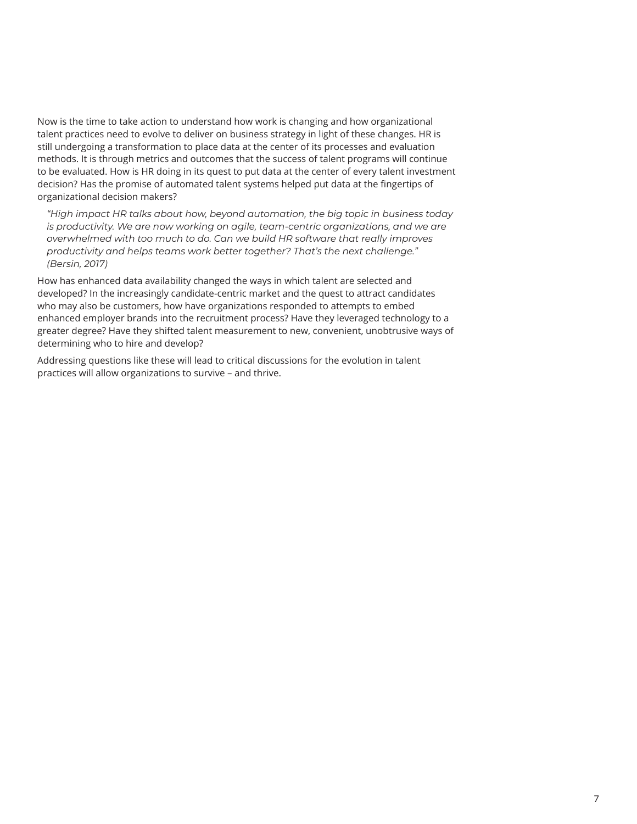Now is the time to take action to understand how work is changing and how organizational talent practices need to evolve to deliver on business strategy in light of these changes. HR is still undergoing a transformation to place data at the center of its processes and evaluation methods. It is through metrics and outcomes that the success of talent programs will continue to be evaluated. How is HR doing in its quest to put data at the center of every talent investment decision? Has the promise of automated talent systems helped put data at the fingertips of organizational decision makers?

*"High impact HR talks about how, beyond automation, the big topic in business today*  is productivity. We are now working on agile, team-centric organizations, and we are *overwhelmed with too much to do. Can we build HR software that really improves productivity and helps teams work better together? That's the next challenge." (Bersin, 2017)*

How has enhanced data availability changed the ways in which talent are selected and developed? In the increasingly candidate-centric market and the quest to attract candidates who may also be customers, how have organizations responded to attempts to embed enhanced employer brands into the recruitment process? Have they leveraged technology to a greater degree? Have they shifted talent measurement to new, convenient, unobtrusive ways of determining who to hire and develop?

Addressing questions like these will lead to critical discussions for the evolution in talent practices will allow organizations to survive – and thrive.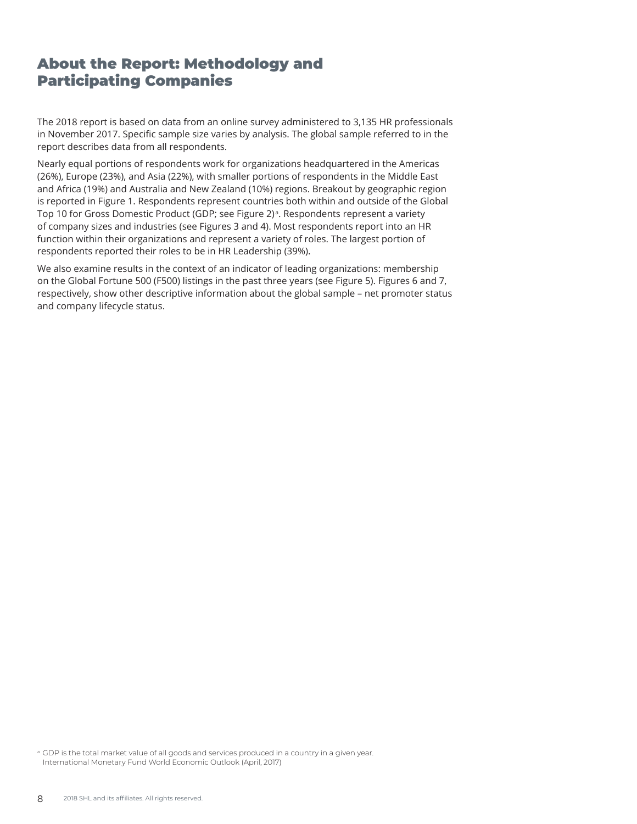# About the Report: Methodology and Participating Companies

The 2018 report is based on data from an online survey administered to 3,135 HR professionals in November 2017. Specific sample size varies by analysis. The global sample referred to in the report describes data from all respondents.

Nearly equal portions of respondents work for organizations headquartered in the Americas (26%), Europe (23%), and Asia (22%), with smaller portions of respondents in the Middle East and Africa (19%) and Australia and New Zealand (10%) regions. Breakout by geographic region is reported in Figure 1. Respondents represent countries both within and outside of the Global Top 10 for Gross Domestic Product (GDP; see Figure 2)ª. Respondents represent a variety of company sizes and industries (see Figures 3 and 4). Most respondents report into an HR function within their organizations and represent a variety of roles. The largest portion of respondents reported their roles to be in HR Leadership (39%).

We also examine results in the context of an indicator of leading organizations: membership on the Global Fortune 500 (F500) listings in the past three years (see Figure 5). Figures 6 and 7, respectively, show other descriptive information about the global sample – net promoter status and company lifecycle status.

<sup>a</sup> GDP is the total market value of all goods and services produced in a country in a given year. International Monetary Fund World Economic Outlook (April, 2017)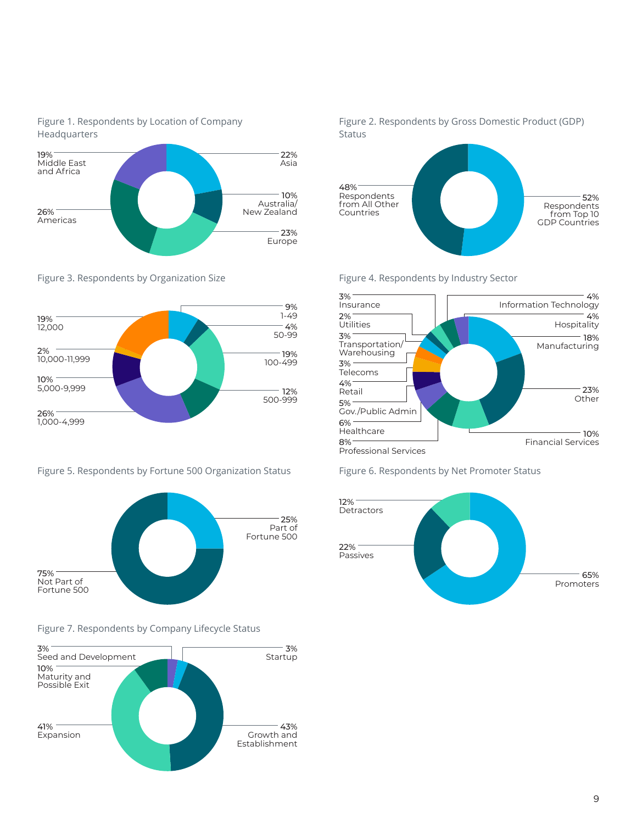

#### Figure 1. Respondents by Location of Company Headquarters

Figure 3. Respondents by Organization Size



Figure 5. Respondents by Fortune 500 Organization Status



## Figure 7. Respondents by Company Lifecycle Status



Figure 2. Respondents by Gross Domestic Product (GDP) Status



Figure 4. Respondents by Industry Sector



Figure 6. Respondents by Net Promoter Status

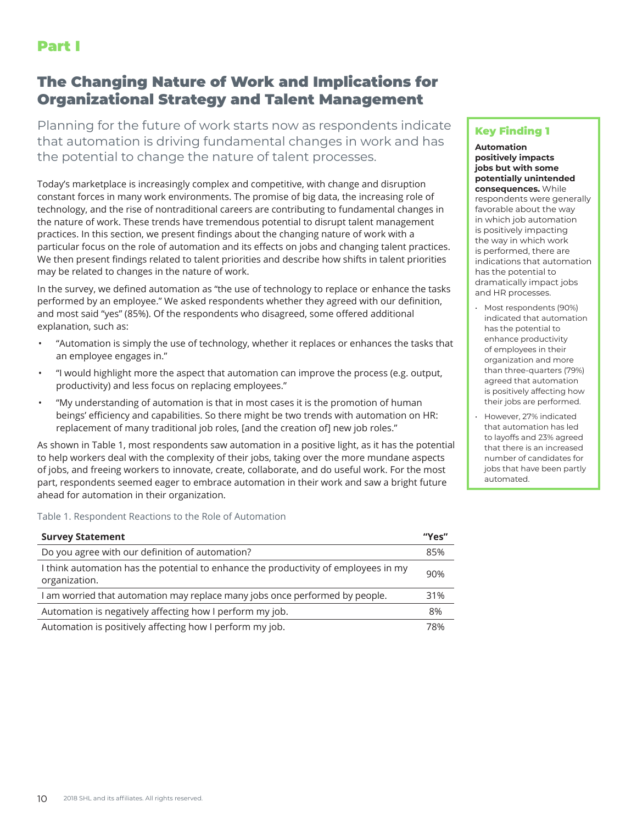# Part I

# The Changing Nature of Work and Implications for Organizational Strategy and Talent Management

Planning for the future of work starts now as respondents indicate that automation is driving fundamental changes in work and has the potential to change the nature of talent processes.

Today's marketplace is increasingly complex and competitive, with change and disruption constant forces in many work environments. The promise of big data, the increasing role of technology, and the rise of nontraditional careers are contributing to fundamental changes in the nature of work. These trends have tremendous potential to disrupt talent management practices. In this section, we present findings about the changing nature of work with a particular focus on the role of automation and its effects on jobs and changing talent practices. We then present findings related to talent priorities and describe how shifts in talent priorities may be related to changes in the nature of work.

In the survey, we defined automation as "the use of technology to replace or enhance the tasks performed by an employee." We asked respondents whether they agreed with our definition, and most said "yes" (85%). Of the respondents who disagreed, some offered additional explanation, such as:

- "Automation is simply the use of technology, whether it replaces or enhances the tasks that an employee engages in."
- "I would highlight more the aspect that automation can improve the process (e.g. output, productivity) and less focus on replacing employees."
- "My understanding of automation is that in most cases it is the promotion of human beings' efficiency and capabilities. So there might be two trends with automation on HR: replacement of many traditional job roles, [and the creation of] new job roles."

As shown in Table 1, most respondents saw automation in a positive light, as it has the potential to help workers deal with the complexity of their jobs, taking over the more mundane aspects of jobs, and freeing workers to innovate, create, collaborate, and do useful work. For the most part, respondents seemed eager to embrace automation in their work and saw a bright future ahead for automation in their organization.

Table 1. Respondent Reactions to the Role of Automation

| <b>Survey Statement</b>                                                                              | "Yes" |
|------------------------------------------------------------------------------------------------------|-------|
| Do you agree with our definition of automation?                                                      | 85%   |
| I think automation has the potential to enhance the productivity of employees in my<br>organization. | 90%   |
| I am worried that automation may replace many jobs once performed by people.                         | 31%   |
| Automation is negatively affecting how I perform my job.                                             | 8%    |
| Automation is positively affecting how I perform my job.                                             | 78%   |

## Key Finding 1

**Automation positively impacts jobs but with some potentially unintended consequences.** While respondents were generally favorable about the way in which job automation is positively impacting the way in which work is performed, there are indications that automation has the potential to dramatically impact jobs and HR processes.

- Most respondents (90%) indicated that automation has the potential to enhance productivity of employees in their organization and more than three-quarters (79%) agreed that automation is positively affecting how their jobs are performed.
- However, 27% indicated that automation has led to layoffs and 23% agreed that there is an increased number of candidates for jobs that have been partly automated.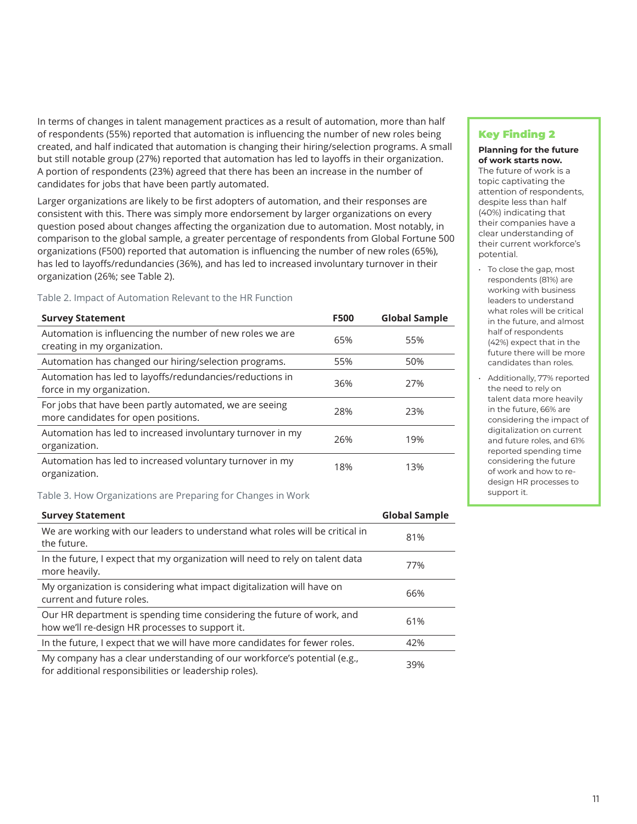In terms of changes in talent management practices as a result of automation, more than half of respondents (55%) reported that automation is influencing the number of new roles being created, and half indicated that automation is changing their hiring/selection programs. A small but still notable group (27%) reported that automation has led to layoffs in their organization. A portion of respondents (23%) agreed that there has been an increase in the number of candidates for jobs that have been partly automated.

Larger organizations are likely to be first adopters of automation, and their responses are consistent with this. There was simply more endorsement by larger organizations on every question posed about changes affecting the organization due to automation. Most notably, in comparison to the global sample, a greater percentage of respondents from Global Fortune 500 organizations (F500) reported that automation is influencing the number of new roles (65%), has led to layoffs/redundancies (36%), and has led to increased involuntary turnover in their organization (26%; see Table 2).

Table 2. Impact of Automation Relevant to the HR Function

| <b>Survey Statement</b>                                                                        | <b>F500</b> | <b>Global Sample</b> |
|------------------------------------------------------------------------------------------------|-------------|----------------------|
| Automation is influencing the number of new roles we are<br>creating in my organization.       | 65%         | 55%                  |
| Automation has changed our hiring/selection programs.                                          | 55%         | 50%                  |
| Automation has led to layoffs/redundancies/reductions in<br>force in my organization.          | 36%         | 27%                  |
| For jobs that have been partly automated, we are seeing<br>more candidates for open positions. | 28%         | 23%                  |
| Automation has led to increased involuntary turnover in my<br>organization.                    | 26%         | 19%                  |
| Automation has led to increased voluntary turnover in my<br>organization.                      | 18%         | 13%                  |

Table 3. How Organizations are Preparing for Changes in Work

| <b>Survey Statement</b>                                                                                                           | <b>Global Sample</b> |
|-----------------------------------------------------------------------------------------------------------------------------------|----------------------|
| We are working with our leaders to understand what roles will be critical in<br>the future.                                       | 81%                  |
| In the future, I expect that my organization will need to rely on talent data<br>more heavily.                                    | 77%                  |
| My organization is considering what impact digitalization will have on<br>current and future roles.                               | 66%                  |
| Our HR department is spending time considering the future of work, and<br>how we'll re-design HR processes to support it.         | 61%                  |
| In the future, I expect that we will have more candidates for fewer roles.                                                        | 42%                  |
| My company has a clear understanding of our workforce's potential (e.g.,<br>for additional responsibilities or leadership roles). | 39%                  |

## Key Finding 2

#### **Planning for the future of work starts now.**

The future of work is a topic captivating the attention of respondents, despite less than half (40%) indicating that their companies have a clear understanding of their current workforce's potential.

- To close the gap, most respondents (81%) are working with business leaders to understand what roles will be critical in the future, and almost half of respondents (42%) expect that in the future there will be more candidates than roles.
- Additionally, 77% reported the need to rely on talent data more heavily in the future, 66% are considering the impact of digitalization on current and future roles, and 61% reported spending time considering the future of work and how to redesign HR processes to support it.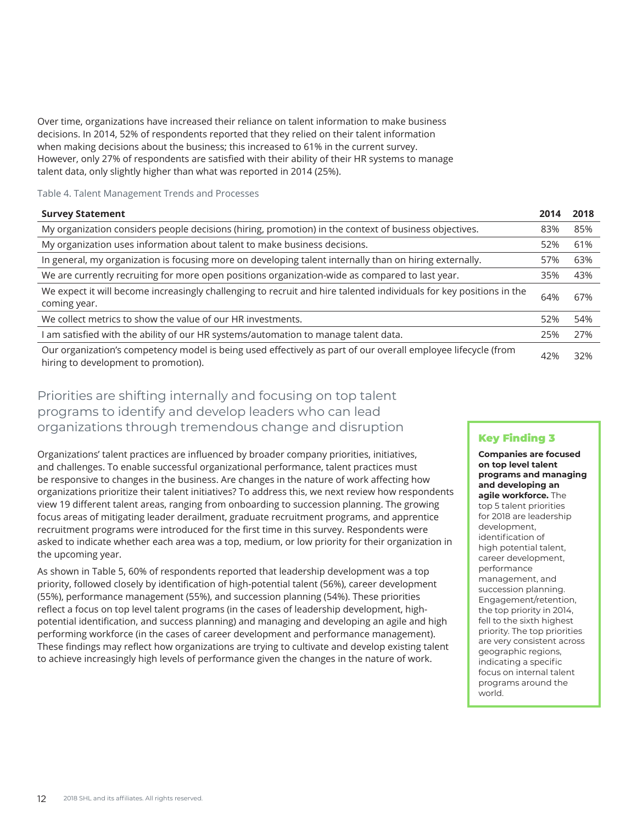Over time, organizations have increased their reliance on talent information to make business decisions. In 2014, 52% of respondents reported that they relied on their talent information when making decisions about the business; this increased to 61% in the current survey. However, only 27% of respondents are satisfied with their ability of their HR systems to manage talent data, only slightly higher than what was reported in 2014 (25%).

Table 4. Talent Management Trends and Processes

| <b>Survey Statement</b>                                                                                                                               | 2014 | 2018 |
|-------------------------------------------------------------------------------------------------------------------------------------------------------|------|------|
| My organization considers people decisions (hiring, promotion) in the context of business objectives.                                                 | 83%  | 85%  |
| My organization uses information about talent to make business decisions.                                                                             | 52%  | 61%  |
| In general, my organization is focusing more on developing talent internally than on hiring externally.                                               | 57%  | 63%  |
| We are currently recruiting for more open positions organization-wide as compared to last year.                                                       | 35%  | 43%  |
| We expect it will become increasingly challenging to recruit and hire talented individuals for key positions in the<br>coming year.                   | 64%  | 67%  |
| We collect metrics to show the value of our HR investments.                                                                                           | 52%  | 54%  |
| am satisfied with the ability of our HR systems/automation to manage talent data.                                                                     | 25%  | 27%  |
| Our organization's competency model is being used effectively as part of our overall employee lifecycle (from<br>hiring to development to promotion). | 42%  | 32%  |

## Priorities are shifting internally and focusing on top talent programs to identify and develop leaders who can lead organizations through tremendous change and disruption

Organizations' talent practices are influenced by broader company priorities, initiatives, and challenges. To enable successful organizational performance, talent practices must be responsive to changes in the business. Are changes in the nature of work affecting how organizations prioritize their talent initiatives? To address this, we next review how respondents view 19 different talent areas, ranging from onboarding to succession planning. The growing focus areas of mitigating leader derailment, graduate recruitment programs, and apprentice recruitment programs were introduced for the first time in this survey. Respondents were asked to indicate whether each area was a top, medium, or low priority for their organization in the upcoming year.

As shown in Table 5, 60% of respondents reported that leadership development was a top priority, followed closely by identification of high-potential talent (56%), career development (55%), performance management (55%), and succession planning (54%). These priorities reflect a focus on top level talent programs (in the cases of leadership development, highpotential identification, and success planning) and managing and developing an agile and high performing workforce (in the cases of career development and performance management). These findings may reflect how organizations are trying to cultivate and develop existing talent to achieve increasingly high levels of performance given the changes in the nature of work.

## Key Finding 3

**Companies are focused on top level talent programs and managing and developing an agile workforce.** The top 5 talent priorities for 2018 are leadership development, identification of high potential talent, career development, performance management, and succession planning. Engagement/retention, the top priority in 2014, fell to the sixth highest priority. The top priorities are very consistent across geographic regions, indicating a specific focus on internal talent programs around the world.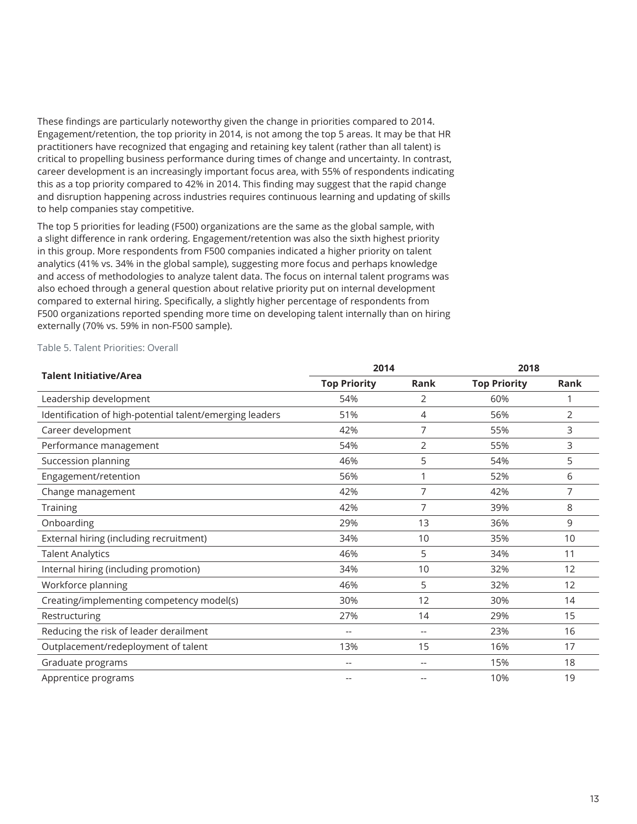These findings are particularly noteworthy given the change in priorities compared to 2014. Engagement/retention, the top priority in 2014, is not among the top 5 areas. It may be that HR practitioners have recognized that engaging and retaining key talent (rather than all talent) is critical to propelling business performance during times of change and uncertainty. In contrast, career development is an increasingly important focus area, with 55% of respondents indicating this as a top priority compared to 42% in 2014. This finding may suggest that the rapid change and disruption happening across industries requires continuous learning and updating of skills to help companies stay competitive.

The top 5 priorities for leading (F500) organizations are the same as the global sample, with a slight difference in rank ordering. Engagement/retention was also the sixth highest priority in this group. More respondents from F500 companies indicated a higher priority on talent analytics (41% vs. 34% in the global sample), suggesting more focus and perhaps knowledge and access of methodologies to analyze talent data. The focus on internal talent programs was also echoed through a general question about relative priority put on internal development compared to external hiring. Specifically, a slightly higher percentage of respondents from F500 organizations reported spending more time on developing talent internally than on hiring externally (70% vs. 59% in non-F500 sample).

|                                                          | 2014                |                          | 2018                |      |  |
|----------------------------------------------------------|---------------------|--------------------------|---------------------|------|--|
| <b>Talent Initiative/Area</b>                            | <b>Top Priority</b> | Rank                     | <b>Top Priority</b> | Rank |  |
| Leadership development                                   | 54%                 | 2                        | 60%                 | 1    |  |
| Identification of high-potential talent/emerging leaders | 51%                 | 4                        | 56%                 | 2    |  |
| Career development                                       | 42%                 | 7                        | 55%                 | 3    |  |
| Performance management                                   | 54%                 | $\overline{2}$           | 55%                 | 3    |  |
| Succession planning                                      | 46%                 | 5                        | 54%                 | 5    |  |
| Engagement/retention                                     | 56%                 | 1                        | 52%                 | 6    |  |
| Change management                                        | 42%                 | 7                        | 42%                 | 7    |  |
| Training                                                 | 42%                 | 7                        | 39%                 | 8    |  |
| Onboarding                                               | 29%                 | 13                       | 36%                 | 9    |  |
| External hiring (including recruitment)                  | 34%                 | 10                       | 35%                 | 10   |  |
| <b>Talent Analytics</b>                                  | 46%                 | 5                        | 34%                 | 11   |  |
| Internal hiring (including promotion)                    | 34%                 | 10                       | 32%                 | 12   |  |
| Workforce planning                                       | 46%                 | 5                        | 32%                 | 12   |  |
| Creating/implementing competency model(s)                | 30%                 | 12                       | 30%                 | 14   |  |
| Restructuring                                            | 27%                 | 14                       | 29%                 | 15   |  |
| Reducing the risk of leader derailment                   | --                  | $-$                      | 23%                 | 16   |  |
| Outplacement/redeployment of talent                      | 13%                 | 15                       | 16%                 | 17   |  |
| Graduate programs                                        | $- -$               | $\overline{\phantom{m}}$ | 15%                 | 18   |  |
| Apprentice programs                                      | --                  | --                       | 10%                 | 19   |  |

#### Table 5. Talent Priorities: Overall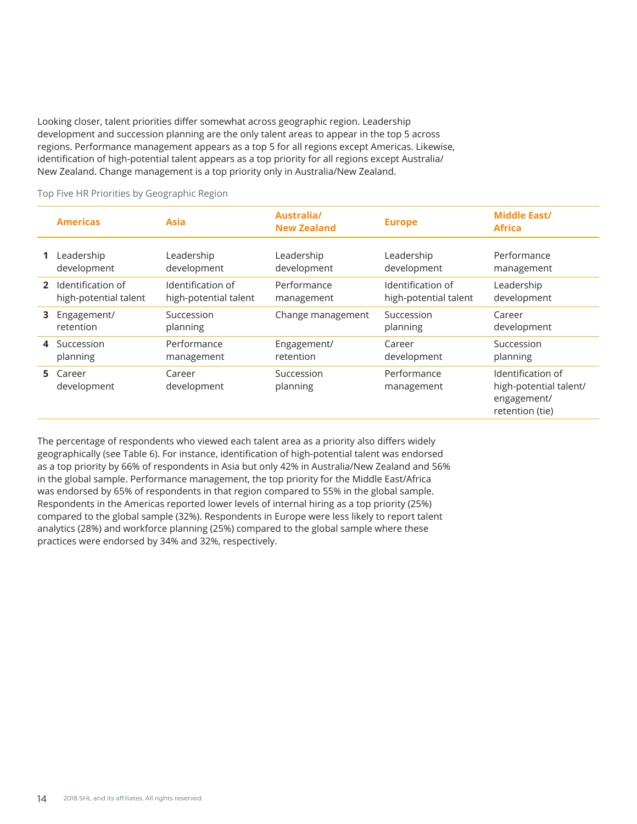Looking closer, talent priorities differ somewhat across geographic region. Leadership development and succession planning are the only talent areas to appear in the top 5 across regions. Performance management appears as a top 5 for all regions except Americas. Likewise, identification of high-potential talent appears as a top priority for all regions except Australia/ New Zealand. Change management is a top priority only in Australia/New Zealand.

**Americas Asia Australia/ New Zealand Europe Middle East/ Africa 1** Leadership development Leadership development Leadership development Leadership development Performance management **2** Identification of high-potential talent Identification of high-potential talent Performance management Identification of high-potential talent Leadership development **3** Engagement/ retention Succession planning Change management Succession planning Career development **4** Succession planning Performance management Engagement/ retention Career development Succession planning **5** Career development Career development Succession planning Performance management Identification of high-potential talent/ engagement/ retention (tie)

Top Five HR Priorities by Geographic Region

The percentage of respondents who viewed each talent area as a priority also differs widely geographically (see Table 6). For instance, identification of high-potential talent was endorsed as a top priority by 66% of respondents in Asia but only 42% in Australia/New Zealand and 56% in the global sample. Performance management, the top priority for the Middle East/Africa was endorsed by 65% of respondents in that region compared to 55% in the global sample. Respondents in the Americas reported lower levels of internal hiring as a top priority (25%) compared to the global sample (32%). Respondents in Europe were less likely to report talent analytics (28%) and workforce planning (25%) compared to the global sample where these practices were endorsed by 34% and 32%, respectively.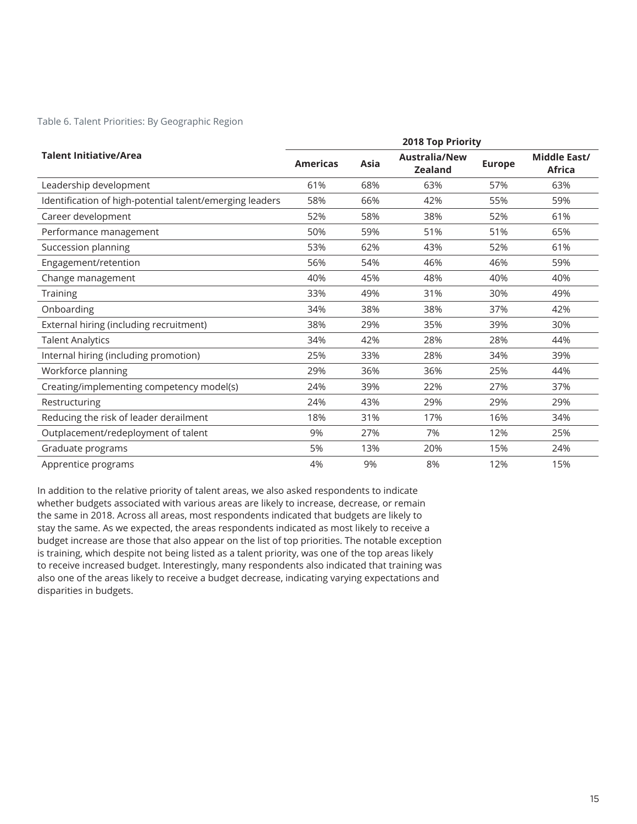Table 6. Talent Priorities: By Geographic Region

|                                                          | 2018 Top Priority |             |                                        |               |                                      |
|----------------------------------------------------------|-------------------|-------------|----------------------------------------|---------------|--------------------------------------|
| <b>Talent Initiative/Area</b>                            | <b>Americas</b>   | <b>Asia</b> | <b>Australia/New</b><br><b>Zealand</b> | <b>Europe</b> | <b>Middle East/</b><br><b>Africa</b> |
| Leadership development                                   | 61%               | 68%         | 63%                                    | 57%           | 63%                                  |
| Identification of high-potential talent/emerging leaders | 58%               | 66%         | 42%                                    | 55%           | 59%                                  |
| Career development                                       | 52%               | 58%         | 38%                                    | 52%           | 61%                                  |
| Performance management                                   | 50%               | 59%         | 51%                                    | 51%           | 65%                                  |
| Succession planning                                      | 53%               | 62%         | 43%                                    | 52%           | 61%                                  |
| Engagement/retention                                     | 56%               | 54%         | 46%                                    | 46%           | 59%                                  |
| Change management                                        | 40%               | 45%         | 48%                                    | 40%           | 40%                                  |
| <b>Training</b>                                          | 33%               | 49%         | 31%                                    | 30%           | 49%                                  |
| Onboarding                                               | 34%               | 38%         | 38%                                    | 37%           | 42%                                  |
| External hiring (including recruitment)                  | 38%               | 29%         | 35%                                    | 39%           | 30%                                  |
| <b>Talent Analytics</b>                                  | 34%               | 42%         | 28%                                    | 28%           | 44%                                  |
| Internal hiring (including promotion)                    | 25%               | 33%         | 28%                                    | 34%           | 39%                                  |
| Workforce planning                                       | 29%               | 36%         | 36%                                    | 25%           | 44%                                  |
| Creating/implementing competency model(s)                | 24%               | 39%         | 22%                                    | 27%           | 37%                                  |
| Restructuring                                            | 24%               | 43%         | 29%                                    | 29%           | 29%                                  |
| Reducing the risk of leader derailment                   | 18%               | 31%         | 17%                                    | 16%           | 34%                                  |
| Outplacement/redeployment of talent                      | 9%                | 27%         | 7%                                     | 12%           | 25%                                  |
| Graduate programs                                        | 5%                | 13%         | 20%                                    | 15%           | 24%                                  |
| Apprentice programs                                      | 4%                | 9%          | 8%                                     | 12%           | 15%                                  |

In addition to the relative priority of talent areas, we also asked respondents to indicate whether budgets associated with various areas are likely to increase, decrease, or remain the same in 2018. Across all areas, most respondents indicated that budgets are likely to stay the same. As we expected, the areas respondents indicated as most likely to receive a budget increase are those that also appear on the list of top priorities. The notable exception is training, which despite not being listed as a talent priority, was one of the top areas likely to receive increased budget. Interestingly, many respondents also indicated that training was also one of the areas likely to receive a budget decrease, indicating varying expectations and disparities in budgets.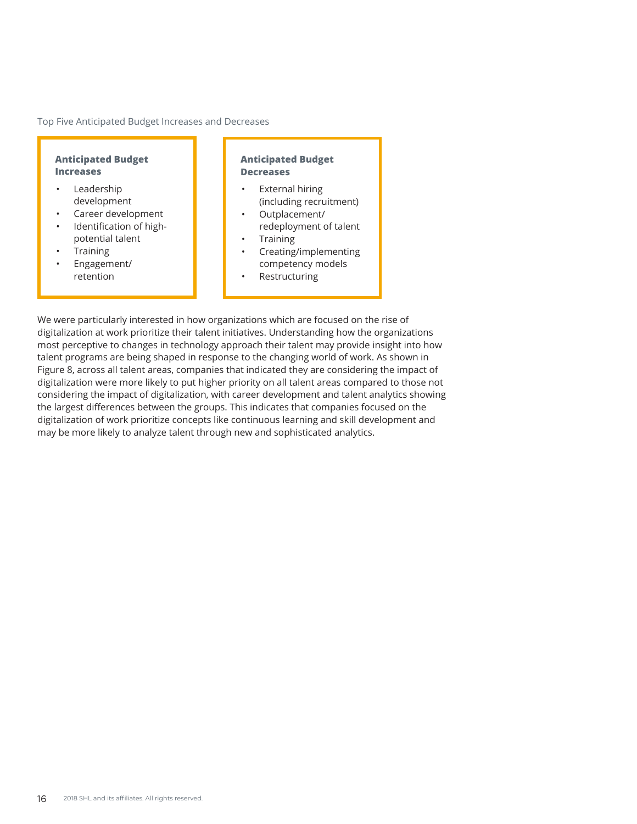## Top Five Anticipated Budget Increases and Decreases

#### **Anticipated Budget Increases**

- Leadership development
- Career development
- Identification of highpotential talent
- **Training**
- Engagement/ retention

#### **Anticipated Budget Decreases**

- **External hiring** (including recruitment)
- Outplacement/ redeployment of talent
- **Training**
- Creating/implementing competency models
- **Restructuring**

We were particularly interested in how organizations which are focused on the rise of digitalization at work prioritize their talent initiatives. Understanding how the organizations most perceptive to changes in technology approach their talent may provide insight into how talent programs are being shaped in response to the changing world of work. As shown in Figure 8, across all talent areas, companies that indicated they are considering the impact of digitalization were more likely to put higher priority on all talent areas compared to those not considering the impact of digitalization, with career development and talent analytics showing the largest differences between the groups. This indicates that companies focused on the digitalization of work prioritize concepts like continuous learning and skill development and may be more likely to analyze talent through new and sophisticated analytics.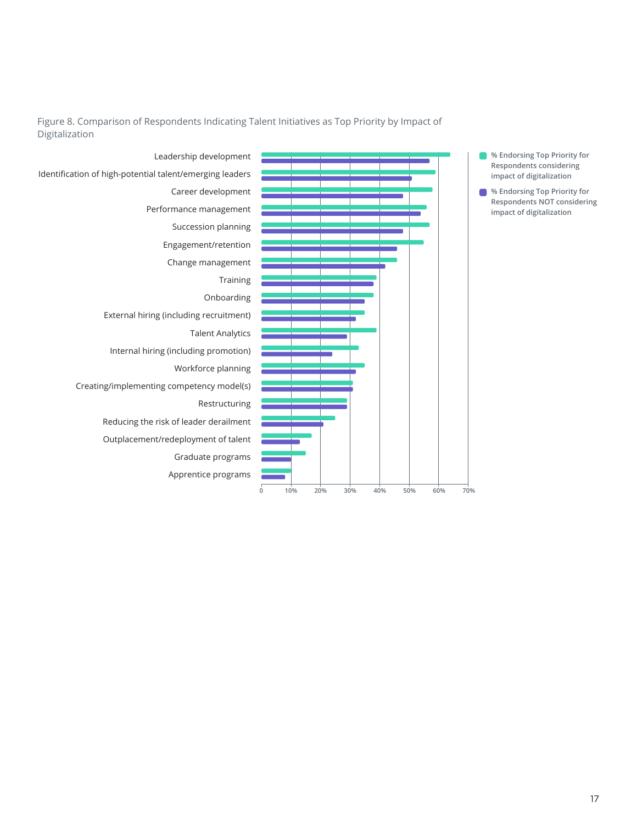Figure 8. Comparison of Respondents Indicating Talent Initiatives as Top Priority by Impact of Digitalization

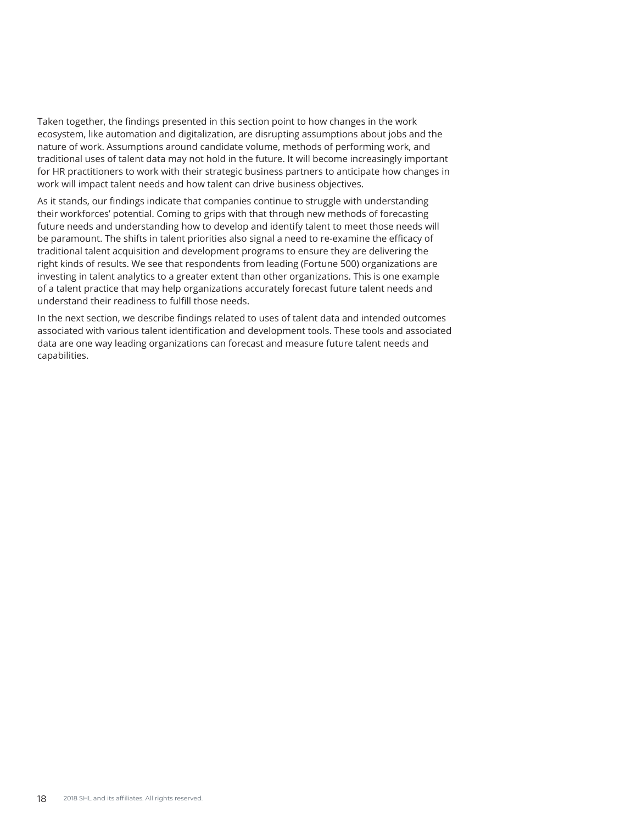Taken together, the findings presented in this section point to how changes in the work ecosystem, like automation and digitalization, are disrupting assumptions about jobs and the nature of work. Assumptions around candidate volume, methods of performing work, and traditional uses of talent data may not hold in the future. It will become increasingly important for HR practitioners to work with their strategic business partners to anticipate how changes in work will impact talent needs and how talent can drive business objectives.

As it stands, our findings indicate that companies continue to struggle with understanding their workforces' potential. Coming to grips with that through new methods of forecasting future needs and understanding how to develop and identify talent to meet those needs will be paramount. The shifts in talent priorities also signal a need to re-examine the efficacy of traditional talent acquisition and development programs to ensure they are delivering the right kinds of results. We see that respondents from leading (Fortune 500) organizations are investing in talent analytics to a greater extent than other organizations. This is one example of a talent practice that may help organizations accurately forecast future talent needs and understand their readiness to fulfill those needs.

In the next section, we describe findings related to uses of talent data and intended outcomes associated with various talent identification and development tools. These tools and associated data are one way leading organizations can forecast and measure future talent needs and capabilities.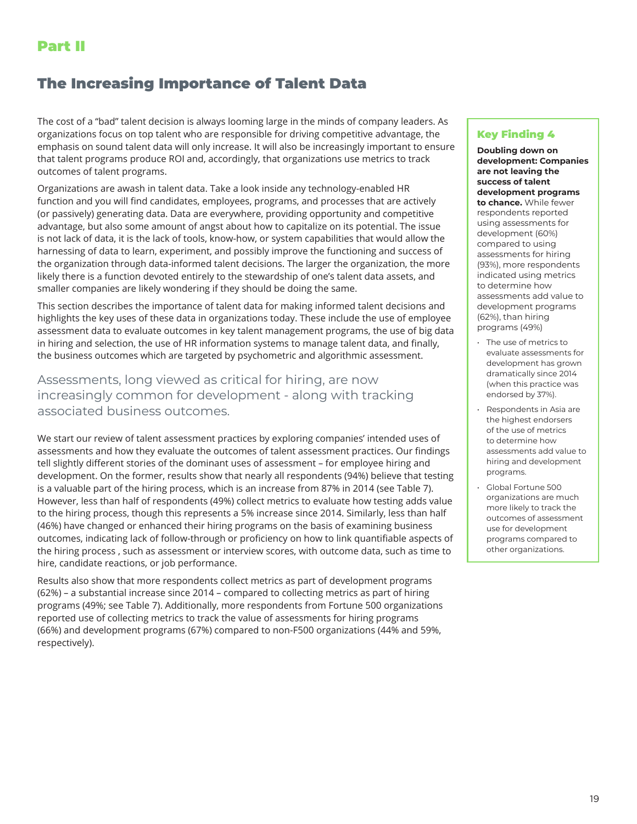# The Increasing Importance of Talent Data

The cost of a "bad" talent decision is always looming large in the minds of company leaders. As organizations focus on top talent who are responsible for driving competitive advantage, the emphasis on sound talent data will only increase. It will also be increasingly important to ensure that talent programs produce ROI and, accordingly, that organizations use metrics to track outcomes of talent programs.

Organizations are awash in talent data. Take a look inside any technology-enabled HR function and you will find candidates, employees, programs, and processes that are actively (or passively) generating data. Data are everywhere, providing opportunity and competitive advantage, but also some amount of angst about how to capitalize on its potential. The issue is not lack of data, it is the lack of tools, know-how, or system capabilities that would allow the harnessing of data to learn, experiment, and possibly improve the functioning and success of the organization through data-informed talent decisions. The larger the organization, the more likely there is a function devoted entirely to the stewardship of one's talent data assets, and smaller companies are likely wondering if they should be doing the same.

This section describes the importance of talent data for making informed talent decisions and highlights the key uses of these data in organizations today. These include the use of employee assessment data to evaluate outcomes in key talent management programs, the use of big data in hiring and selection, the use of HR information systems to manage talent data, and finally, the business outcomes which are targeted by psychometric and algorithmic assessment.

Assessments, long viewed as critical for hiring, are now increasingly common for development - along with tracking associated business outcomes.

We start our review of talent assessment practices by exploring companies' intended uses of assessments and how they evaluate the outcomes of talent assessment practices. Our findings tell slightly different stories of the dominant uses of assessment – for employee hiring and development. On the former, results show that nearly all respondents (94%) believe that testing is a valuable part of the hiring process, which is an increase from 87% in 2014 (see Table 7). However, less than half of respondents (49%) collect metrics to evaluate how testing adds value to the hiring process, though this represents a 5% increase since 2014. Similarly, less than half (46%) have changed or enhanced their hiring programs on the basis of examining business outcomes, indicating lack of follow-through or proficiency on how to link quantifiable aspects of the hiring process , such as assessment or interview scores, with outcome data, such as time to hire, candidate reactions, or job performance.

Results also show that more respondents collect metrics as part of development programs (62%) – a substantial increase since 2014 – compared to collecting metrics as part of hiring programs (49%; see Table 7). Additionally, more respondents from Fortune 500 organizations reported use of collecting metrics to track the value of assessments for hiring programs (66%) and development programs (67%) compared to non-F500 organizations (44% and 59%, respectively).

## Key Finding 4

**Doubling down on development: Companies are not leaving the success of talent development programs to chance.** While fewer respondents reported using assessments for development (60%) compared to using assessments for hiring (93%), more respondents indicated using metrics to determine how assessments add value to development programs (62%), than hiring programs (49%)

- The use of metrics to evaluate assessments for development has grown dramatically since 2014 (when this practice was endorsed by 37%).
- Respondents in Asia are the highest endorsers of the use of metrics to determine how assessments add value to hiring and development programs.
- Global Fortune 500 organizations are much more likely to track the outcomes of assessment use for development programs compared to other organizations.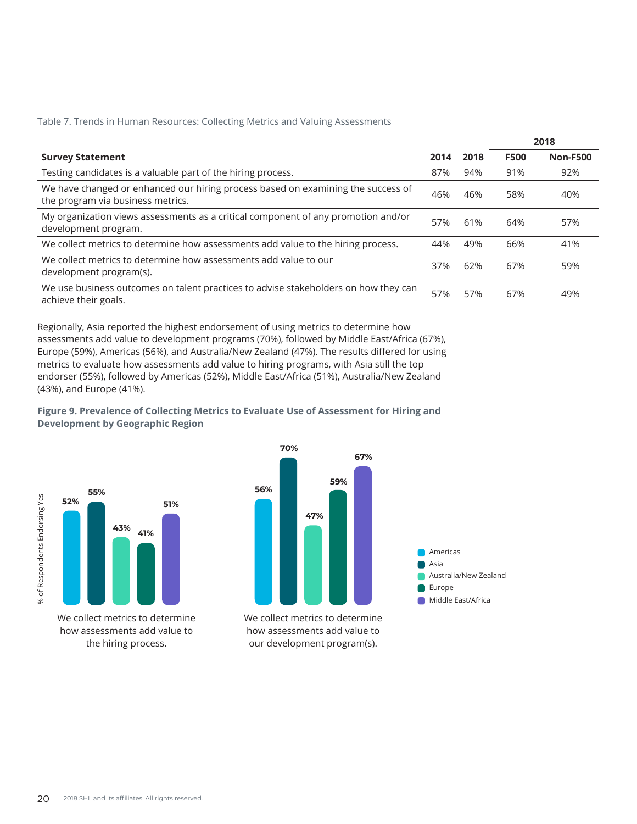Table 7. Trends in Human Resources: Collecting Metrics and Valuing Assessments

|                                                                                                                       |      |      |             | 2018            |
|-----------------------------------------------------------------------------------------------------------------------|------|------|-------------|-----------------|
| <b>Survey Statement</b>                                                                                               | 2014 | 2018 | <b>F500</b> | <b>Non-F500</b> |
| Testing candidates is a valuable part of the hiring process.                                                          | 87%  | 94%  | 91%         | 92%             |
| We have changed or enhanced our hiring process based on examining the success of<br>the program via business metrics. | 46%  | 46%  | 58%         | 40%             |
| My organization views assessments as a critical component of any promotion and/or<br>development program.             | 57%  | 61%  | 64%         | 57%             |
| We collect metrics to determine how assessments add value to the hiring process.                                      | 44%  | 49%  | 66%         | 41%             |
| We collect metrics to determine how assessments add value to our<br>development program(s).                           | 37%  | 62%  | 67%         | 59%             |
| We use business outcomes on talent practices to advise stakeholders on how they can<br>achieve their goals.           | 57%  | 57%  | 67%         | 49%             |

Regionally, Asia reported the highest endorsement of using metrics to determine how assessments add value to development programs (70%), followed by Middle East/Africa (67%), Europe (59%), Americas (56%), and Australia/New Zealand (47%). The results differed for using metrics to evaluate how assessments add value to hiring programs, with Asia still the top endorser (55%), followed by Americas (52%), Middle East/Africa (51%), Australia/New Zealand (43%), and Europe (41%).

**Figure 9. Prevalence of Collecting Metrics to Evaluate Use of Assessment for Hiring and Development by Geographic Region**





how assessments add value to our development program(s).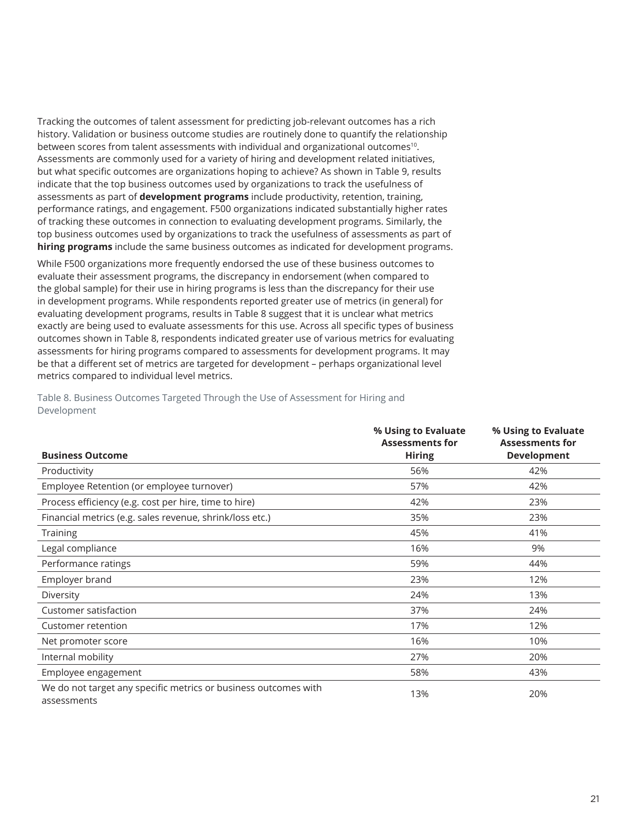Tracking the outcomes of talent assessment for predicting job-relevant outcomes has a rich history. Validation or business outcome studies are routinely done to quantify the relationship between scores from talent assessments with individual and organizational outcomes10. Assessments are commonly used for a variety of hiring and development related initiatives, but what specific outcomes are organizations hoping to achieve? As shown in Table 9, results indicate that the top business outcomes used by organizations to track the usefulness of assessments as part of **development programs** include productivity, retention, training, performance ratings, and engagement. F500 organizations indicated substantially higher rates of tracking these outcomes in connection to evaluating development programs. Similarly, the top business outcomes used by organizations to track the usefulness of assessments as part of **hiring programs** include the same business outcomes as indicated for development programs.

While F500 organizations more frequently endorsed the use of these business outcomes to evaluate their assessment programs, the discrepancy in endorsement (when compared to the global sample) for their use in hiring programs is less than the discrepancy for their use in development programs. While respondents reported greater use of metrics (in general) for evaluating development programs, results in Table 8 suggest that it is unclear what metrics exactly are being used to evaluate assessments for this use. Across all specific types of business outcomes shown in Table 8, respondents indicated greater use of various metrics for evaluating assessments for hiring programs compared to assessments for development programs. It may be that a different set of metrics are targeted for development – perhaps organizational level metrics compared to individual level metrics.

Table 8. Business Outcomes Targeted Through the Use of Assessment for Hiring and Development

|                                                                                | % Using to Evaluate<br><b>Assessments for</b> | % Using to Evaluate<br><b>Assessments for</b> |
|--------------------------------------------------------------------------------|-----------------------------------------------|-----------------------------------------------|
| <b>Business Outcome</b>                                                        | <b>Hiring</b>                                 | <b>Development</b>                            |
| Productivity                                                                   | 56%                                           | 42%                                           |
| Employee Retention (or employee turnover)                                      | 57%                                           | 42%                                           |
| Process efficiency (e.g. cost per hire, time to hire)                          | 42%                                           | 23%                                           |
| Financial metrics (e.g. sales revenue, shrink/loss etc.)                       | 35%                                           | 23%                                           |
| Training                                                                       | 45%                                           | 41%                                           |
| Legal compliance                                                               | 16%                                           | 9%                                            |
| Performance ratings                                                            | 59%                                           | 44%                                           |
| Employer brand                                                                 | 23%                                           | 12%                                           |
| Diversity                                                                      | 24%                                           | 13%                                           |
| Customer satisfaction                                                          | 37%                                           | 24%                                           |
| Customer retention                                                             | 17%                                           | 12%                                           |
| Net promoter score                                                             | 16%                                           | 10%                                           |
| Internal mobility                                                              | 27%                                           | 20%                                           |
| Employee engagement                                                            | 58%                                           | 43%                                           |
| We do not target any specific metrics or business outcomes with<br>assessments | 13%                                           | 20%                                           |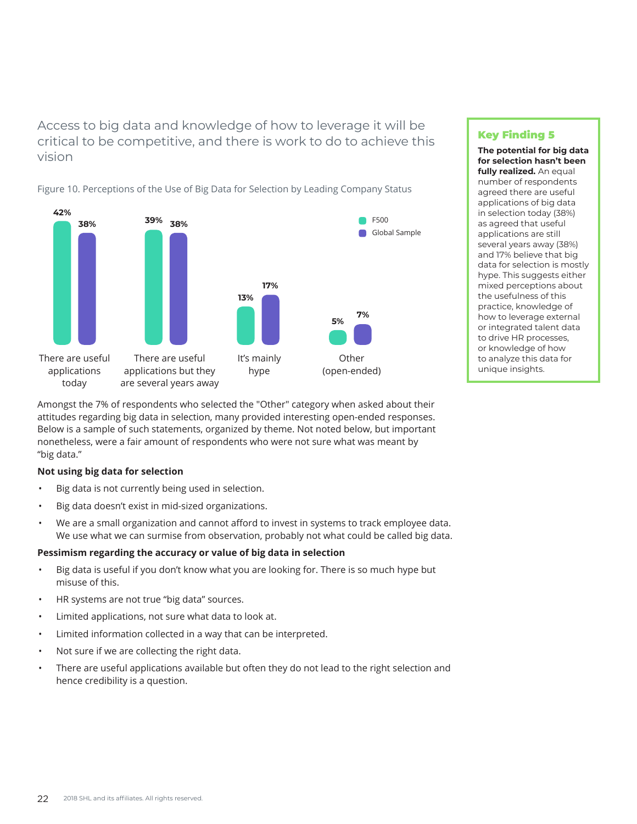Access to big data and knowledge of how to leverage it will be critical to be competitive, and there is work to do to achieve this vision



Figure 10. Perceptions of the Use of Big Data for Selection by Leading Company Status

Amongst the 7% of respondents who selected the "Other" category when asked about their attitudes regarding big data in selection, many provided interesting open-ended responses. Below is a sample of such statements, organized by theme. Not noted below, but important nonetheless, were a fair amount of respondents who were not sure what was meant by "big data."

#### **Not using big data for selection**

- Big data is not currently being used in selection.
- Big data doesn't exist in mid-sized organizations.
- We are a small organization and cannot afford to invest in systems to track employee data. We use what we can surmise from observation, probably not what could be called big data.

#### **Pessimism regarding the accuracy or value of big data in selection**

- Big data is useful if you don't know what you are looking for. There is so much hype but misuse of this.
- HR systems are not true "big data" sources.
- Limited applications, not sure what data to look at.
- Limited information collected in a way that can be interpreted.
- Not sure if we are collecting the right data.
- There are useful applications available but often they do not lead to the right selection and hence credibility is a question.

## Key Finding 5

**The potential for big data for selection hasn't been fully realized.** An equal number of respondents agreed there are useful applications of big data in selection today (38%) as agreed that useful applications are still several years away (38%) and 17% believe that big data for selection is mostly hype. This suggests either mixed perceptions about the usefulness of this practice, knowledge of how to leverage external or integrated talent data to drive HR processes, or knowledge of how to analyze this data for unique insights.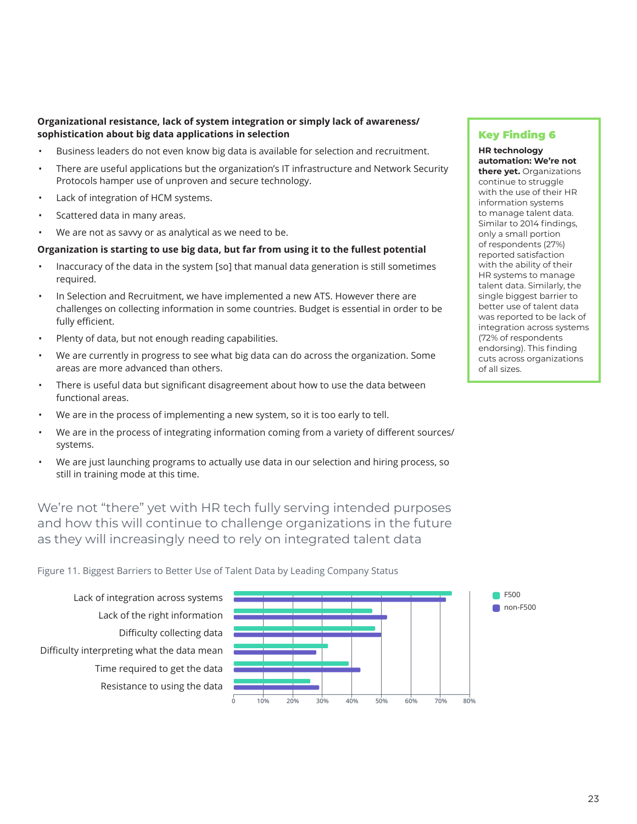## **Organizational resistance, lack of system integration or simply lack of awareness/ sophistication about big data applications in selection**

- Business leaders do not even know big data is available for selection and recruitment.
- There are useful applications but the organization's IT infrastructure and Network Security Protocols hamper use of unproven and secure technology.
- Lack of integration of HCM systems.
- Scattered data in many areas.
- We are not as savvy or as analytical as we need to be.

## **Organization is starting to use big data, but far from using it to the fullest potential**

- Inaccuracy of the data in the system [so] that manual data generation is still sometimes required.
- In Selection and Recruitment, we have implemented a new ATS. However there are challenges on collecting information in some countries. Budget is essential in order to be fully efficient.
- Plenty of data, but not enough reading capabilities.
- We are currently in progress to see what big data can do across the organization. Some areas are more advanced than others.
- There is useful data but significant disagreement about how to use the data between functional areas.
- We are in the process of implementing a new system, so it is too early to tell.
- We are in the process of integrating information coming from a variety of different sources/ systems.
- We are just launching programs to actually use data in our selection and hiring process, so still in training mode at this time.

We're not "there" yet with HR tech fully serving intended purposes and how this will continue to challenge organizations in the future as they will increasingly need to rely on integrated talent data

Figure 11. Biggest Barriers to Better Use of Talent Data by Leading Company Status

Lack of integration across systems Lack of the right information Difficulty collecting data Difficulty interpreting what the data mean Time required to get the data Resistance to using the data



## Key Finding 6

**HR technology automation: We're not there yet.** Organizations continue to struggle with the use of their HR information systems to manage talent data. Similar to 2014 findings, only a small portion of respondents (27%) reported satisfaction with the ability of their HR systems to manage talent data. Similarly, the single biggest barrier to better use of talent data was reported to be lack of integration across systems (72% of respondents endorsing). This finding cuts across organizations of all sizes.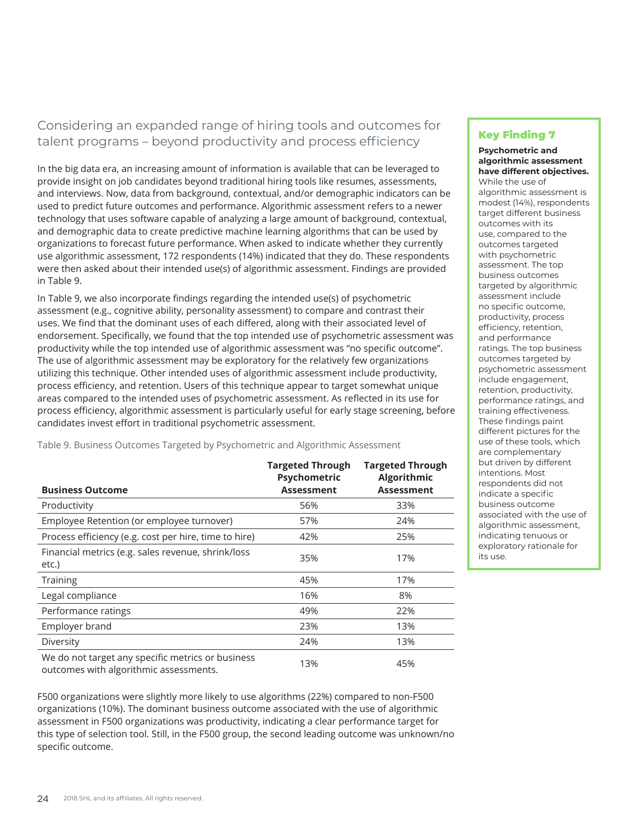## Considering an expanded range of hiring tools and outcomes for talent programs – beyond productivity and process efficiency

In the big data era, an increasing amount of information is available that can be leveraged to provide insight on job candidates beyond traditional hiring tools like resumes, assessments, and interviews. Now, data from background, contextual, and/or demographic indicators can be used to predict future outcomes and performance. Algorithmic assessment refers to a newer technology that uses software capable of analyzing a large amount of background, contextual, and demographic data to create predictive machine learning algorithms that can be used by organizations to forecast future performance. When asked to indicate whether they currently use algorithmic assessment, 172 respondents (14%) indicated that they do. These respondents were then asked about their intended use(s) of algorithmic assessment. Findings are provided in Table 9.

In Table 9, we also incorporate findings regarding the intended use(s) of psychometric assessment (e.g., cognitive ability, personality assessment) to compare and contrast their uses. We find that the dominant uses of each differed, along with their associated level of endorsement. Specifically, we found that the top intended use of psychometric assessment was productivity while the top intended use of algorithmic assessment was "no specific outcome". The use of algorithmic assessment may be exploratory for the relatively few organizations utilizing this technique. Other intended uses of algorithmic assessment include productivity, process efficiency, and retention. Users of this technique appear to target somewhat unique areas compared to the intended uses of psychometric assessment. As reflected in its use for process efficiency, algorithmic assessment is particularly useful for early stage screening, before candidates invest effort in traditional psychometric assessment.

Table 9. Business Outcomes Targeted by Psychometric and Algorithmic Assessment

| <b>Business Outcome</b>                                                                     | <b>Targeted Through</b><br>Psychometric<br><b>Assessment</b> | <b>Targeted Through</b><br>Algorithmic<br><b>Assessment</b> |
|---------------------------------------------------------------------------------------------|--------------------------------------------------------------|-------------------------------------------------------------|
| Productivity                                                                                | 56%                                                          | 33%                                                         |
| Employee Retention (or employee turnover)                                                   | 57%                                                          | 24%                                                         |
| Process efficiency (e.g. cost per hire, time to hire)                                       | 42%                                                          | 25%                                                         |
| Financial metrics (e.g. sales revenue, shrink/loss<br>etc.)                                 | 35%                                                          | 17%                                                         |
| <b>Training</b>                                                                             | 45%                                                          | 17%                                                         |
| Legal compliance                                                                            | 16%                                                          | 8%                                                          |
| Performance ratings                                                                         | 49%                                                          | 22%                                                         |
| Employer brand                                                                              | 23%                                                          | 13%                                                         |
| Diversity                                                                                   | 24%                                                          | 13%                                                         |
| We do not target any specific metrics or business<br>outcomes with algorithmic assessments. | 13%                                                          | 45%                                                         |

F500 organizations were slightly more likely to use algorithms (22%) compared to non-F500 organizations (10%). The dominant business outcome associated with the use of algorithmic assessment in F500 organizations was productivity, indicating a clear performance target for this type of selection tool. Still, in the F500 group, the second leading outcome was unknown/no specific outcome.

## Key Finding 7

#### **Psychometric and algorithmic assessment have different objectives.**

While the use of algorithmic assessment is modest (14%), respondents target different business outcomes with its use, compared to the outcomes targeted with psychometric assessment. The top business outcomes targeted by algorithmic assessment include no specific outcome, productivity, process efficiency, retention, and performance ratings. The top business outcomes targeted by psychometric assessment include engagement, retention, productivity, performance ratings, and training effectiveness. These findings paint different pictures for the use of these tools, which are complementary but driven by different intentions. Most respondents did not indicate a specific business outcome associated with the use of algorithmic assessment, indicating tenuous or exploratory rationale for its use.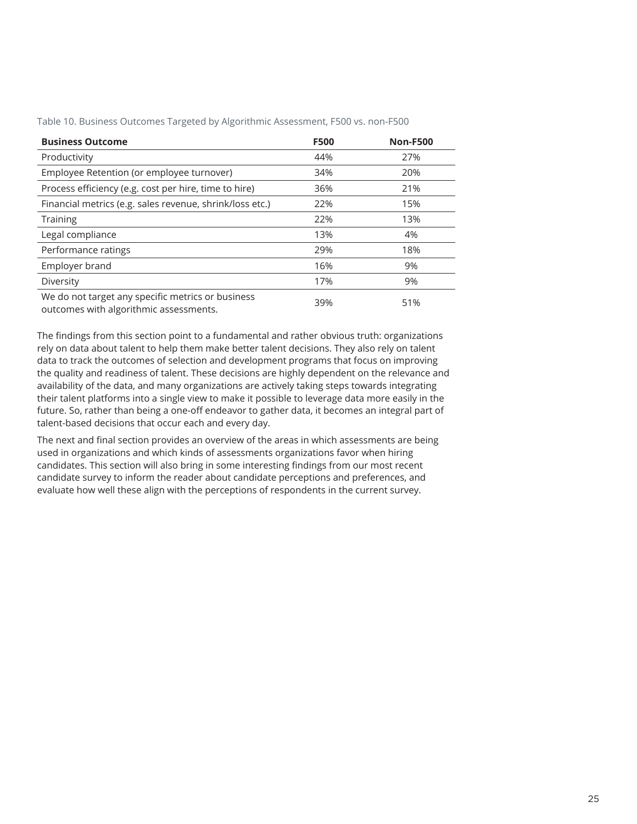| <b>Business Outcome</b>                                                                     | <b>F500</b> | <b>Non-F500</b> |
|---------------------------------------------------------------------------------------------|-------------|-----------------|
| Productivity                                                                                | 44%         | 27%             |
| Employee Retention (or employee turnover)                                                   | 34%         | 20%             |
| Process efficiency (e.g. cost per hire, time to hire)                                       | 36%         | 21%             |
| Financial metrics (e.g. sales revenue, shrink/loss etc.)                                    | 22%         | 15%             |
| <b>Training</b>                                                                             | 22%         | 13%             |
| Legal compliance                                                                            | 13%         | 4%              |
| Performance ratings                                                                         | 29%         | 18%             |
| Employer brand                                                                              | 16%         | 9%              |
| Diversity                                                                                   | 17%         | 9%              |
| We do not target any specific metrics or business<br>outcomes with algorithmic assessments. | 39%         | 51%             |

Table 10. Business Outcomes Targeted by Algorithmic Assessment, F500 vs. non-F500

The findings from this section point to a fundamental and rather obvious truth: organizations rely on data about talent to help them make better talent decisions. They also rely on talent data to track the outcomes of selection and development programs that focus on improving the quality and readiness of talent. These decisions are highly dependent on the relevance and availability of the data, and many organizations are actively taking steps towards integrating their talent platforms into a single view to make it possible to leverage data more easily in the future. So, rather than being a one-off endeavor to gather data, it becomes an integral part of talent-based decisions that occur each and every day.

The next and final section provides an overview of the areas in which assessments are being used in organizations and which kinds of assessments organizations favor when hiring candidates. This section will also bring in some interesting findings from our most recent candidate survey to inform the reader about candidate perceptions and preferences, and evaluate how well these align with the perceptions of respondents in the current survey.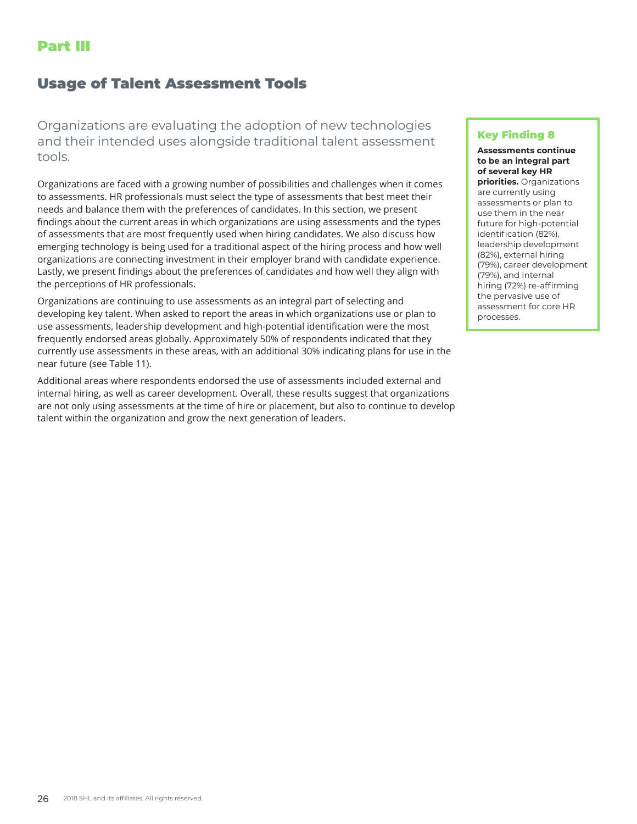# Usage of Talent Assessment Tools

Organizations are evaluating the adoption of new technologies and their intended uses alongside traditional talent assessment tools.

Organizations are faced with a growing number of possibilities and challenges when it comes to assessments. HR professionals must select the type of assessments that best meet their needs and balance them with the preferences of candidates. In this section, we present findings about the current areas in which organizations are using assessments and the types of assessments that are most frequently used when hiring candidates. We also discuss how emerging technology is being used for a traditional aspect of the hiring process and how well organizations are connecting investment in their employer brand with candidate experience. Lastly, we present findings about the preferences of candidates and how well they align with the perceptions of HR professionals.

Organizations are continuing to use assessments as an integral part of selecting and developing key talent. When asked to report the areas in which organizations use or plan to use assessments, leadership development and high-potential identification were the most frequently endorsed areas globally. Approximately 50% of respondents indicated that they currently use assessments in these areas, with an additional 30% indicating plans for use in the near future (see Table 11).

Additional areas where respondents endorsed the use of assessments included external and internal hiring, as well as career development. Overall, these results suggest that organizations are not only using assessments at the time of hire or placement, but also to continue to develop talent within the organization and grow the next generation of leaders.

## Key Finding 8

**Assessments continue to be an integral part of several key HR priorities.** Organizations are currently using assessments or plan to use them in the near future for high-potential identification (82%), leadership development (82%), external hiring (79%), career development (79%), and internal hiring (72%) re-affirming the pervasive use of assessment for core HR processes.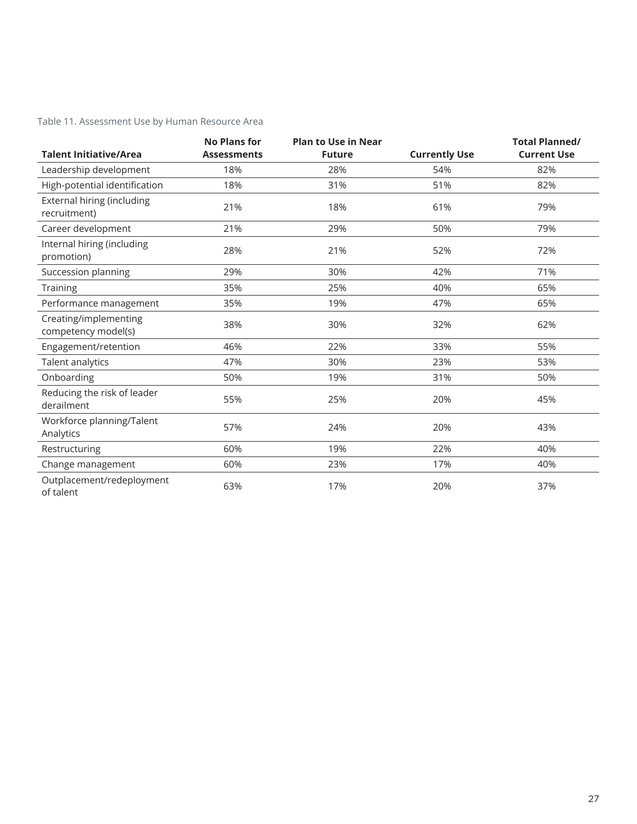## Table 11. Assessment Use by Human Resource Area

|                                              | <b>No Plans for</b> | <b>Plan to Use in Near</b> |                      | <b>Total Planned/</b> |
|----------------------------------------------|---------------------|----------------------------|----------------------|-----------------------|
| <b>Talent Initiative/Area</b>                | <b>Assessments</b>  | <b>Future</b>              | <b>Currently Use</b> | <b>Current Use</b>    |
| Leadership development                       | 18%                 | 28%                        | 54%                  | 82%                   |
| High-potential identification                | 18%                 | 31%                        | 51%                  | 82%                   |
| External hiring (including<br>recruitment)   | 21%                 | 18%                        | 61%                  | 79%                   |
| Career development                           | 21%                 | 29%                        | 50%                  | 79%                   |
| Internal hiring (including<br>promotion)     | 28%                 | 21%                        | 52%                  | 72%                   |
| Succession planning                          | 29%                 | 30%                        | 42%                  | 71%                   |
| <b>Training</b>                              | 35%                 | 25%                        | 40%                  | 65%                   |
| Performance management                       | 35%                 | 19%                        | 47%                  | 65%                   |
| Creating/implementing<br>competency model(s) | 38%                 | 30%                        | 32%                  | 62%                   |
| Engagement/retention                         | 46%                 | 22%                        | 33%                  | 55%                   |
| Talent analytics                             | 47%                 | 30%                        | 23%                  | 53%                   |
| Onboarding                                   | 50%                 | 19%                        | 31%                  | 50%                   |
| Reducing the risk of leader<br>derailment    | 55%                 | 25%                        | 20%                  | 45%                   |
| Workforce planning/Talent<br>Analytics       | 57%                 | 24%                        | 20%                  | 43%                   |
| Restructuring                                | 60%                 | 19%                        | 22%                  | 40%                   |
| Change management                            | 60%                 | 23%                        | 17%                  | 40%                   |
| Outplacement/redeployment<br>of talent       | 63%                 | 17%                        | 20%                  | 37%                   |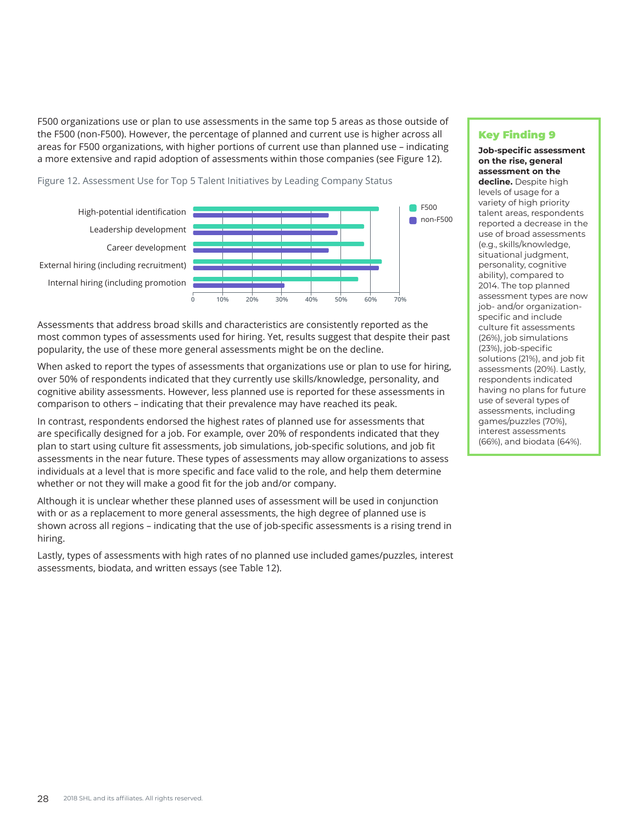F500 organizations use or plan to use assessments in the same top 5 areas as those outside of the F500 (non-F500). However, the percentage of planned and current use is higher across all areas for F500 organizations, with higher portions of current use than planned use – indicating a more extensive and rapid adoption of assessments within those companies (see Figure 12).





Assessments that address broad skills and characteristics are consistently reported as the most common types of assessments used for hiring. Yet, results suggest that despite their past popularity, the use of these more general assessments might be on the decline.

When asked to report the types of assessments that organizations use or plan to use for hiring, over 50% of respondents indicated that they currently use skills/knowledge, personality, and cognitive ability assessments. However, less planned use is reported for these assessments in comparison to others – indicating that their prevalence may have reached its peak.

In contrast, respondents endorsed the highest rates of planned use for assessments that are specifically designed for a job. For example, over 20% of respondents indicated that they plan to start using culture fit assessments, job simulations, job-specific solutions, and job fit assessments in the near future. These types of assessments may allow organizations to assess individuals at a level that is more specific and face valid to the role, and help them determine whether or not they will make a good fit for the job and/or company.

Although it is unclear whether these planned uses of assessment will be used in conjunction with or as a replacement to more general assessments, the high degree of planned use is shown across all regions – indicating that the use of job-specific assessments is a rising trend in hiring.

Lastly, types of assessments with high rates of no planned use included games/puzzles, interest assessments, biodata, and written essays (see Table 12).

## Key Finding 9

**Job-specific assessment on the rise, general assessment on the decline.** Despite high levels of usage for a variety of high priority talent areas, respondents reported a decrease in the use of broad assessments (e.g., skills/knowledge, situational judgment, personality, cognitive ability), compared to 2014. The top planned assessment types are now job- and/or organizationspecific and include culture fit assessments (26%), job simulations (23%), job-specific solutions (21%), and job fit assessments (20%). Lastly, respondents indicated having no plans for future use of several types of assessments, including games/puzzles (70%), interest assessments (66%), and biodata (64%).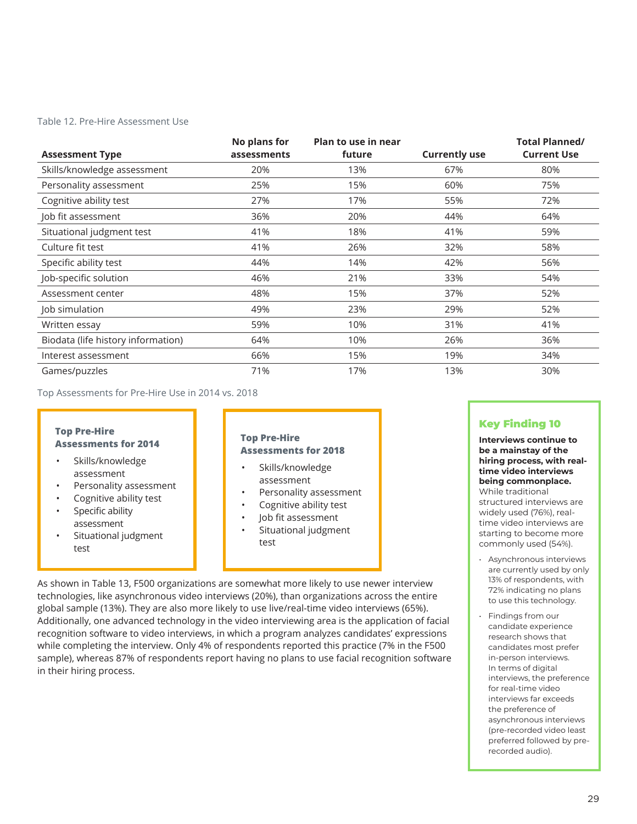#### Table 12. Pre-Hire Assessment Use

| <b>Assessment Type</b>             | No plans for<br>assessments | Plan to use in near<br>future | <b>Currently use</b> | <b>Total Planned/</b><br><b>Current Use</b> |
|------------------------------------|-----------------------------|-------------------------------|----------------------|---------------------------------------------|
| Skills/knowledge assessment        | 20%                         | 13%                           | 67%                  | 80%                                         |
| Personality assessment             | 25%                         | 15%                           | 60%                  | 75%                                         |
| Cognitive ability test             | 27%                         | 17%                           | 55%                  | 72%                                         |
| Job fit assessment                 | 36%                         | 20%                           | 44%                  | 64%                                         |
| Situational judgment test          | 41%                         | 18%                           | 41%                  | 59%                                         |
| Culture fit test                   | 41%                         | 26%                           | 32%                  | 58%                                         |
| Specific ability test              | 44%                         | 14%                           | 42%                  | 56%                                         |
| Job-specific solution              | 46%                         | 21%                           | 33%                  | 54%                                         |
| Assessment center                  | 48%                         | 15%                           | 37%                  | 52%                                         |
| Job simulation                     | 49%                         | 23%                           | 29%                  | 52%                                         |
| Written essay                      | 59%                         | 10%                           | 31%                  | 41%                                         |
| Biodata (life history information) | 64%                         | 10%                           | 26%                  | 36%                                         |
| Interest assessment                | 66%                         | 15%                           | 19%                  | 34%                                         |
| Games/puzzles                      | 71%                         | 17%                           | 13%                  | 30%                                         |

Top Assessments for Pre-Hire Use in 2014 vs. 2018

#### **Top Pre-Hire Assessments for 2014**

- Skills/knowledge assessment
- Personality assessment
- Cognitive ability test
- Specific ability
- assessment Situational judgment test

## **Top Pre-Hire Assessments for 2018**

- Skills/knowledge assessment
- Personality assessment
- Cognitive ability test
- Job fit assessment
- Situational judgment test

As shown in Table 13, F500 organizations are somewhat more likely to use newer interview technologies, like asynchronous video interviews (20%), than organizations across the entire global sample (13%). They are also more likely to use live/real-time video interviews (65%). Additionally, one advanced technology in the video interviewing area is the application of facial recognition software to video interviews, in which a program analyzes candidates' expressions while completing the interview. Only 4% of respondents reported this practice (7% in the F500 sample), whereas 87% of respondents report having no plans to use facial recognition software in their hiring process.

## Key Finding 10

**Interviews continue to be a mainstay of the hiring process, with realtime video interviews being commonplace.**  While traditional

structured interviews are widely used (76%), realtime video interviews are starting to become more commonly used (54%).

- Asynchronous interviews are currently used by only 13% of respondents, with 72% indicating no plans to use this technology.
- Findings from our candidate experience research shows that candidates most prefer in-person interviews. In terms of digital interviews, the preference for real-time video interviews far exceeds the preference of asynchronous interviews (pre-recorded video least preferred followed by prerecorded audio).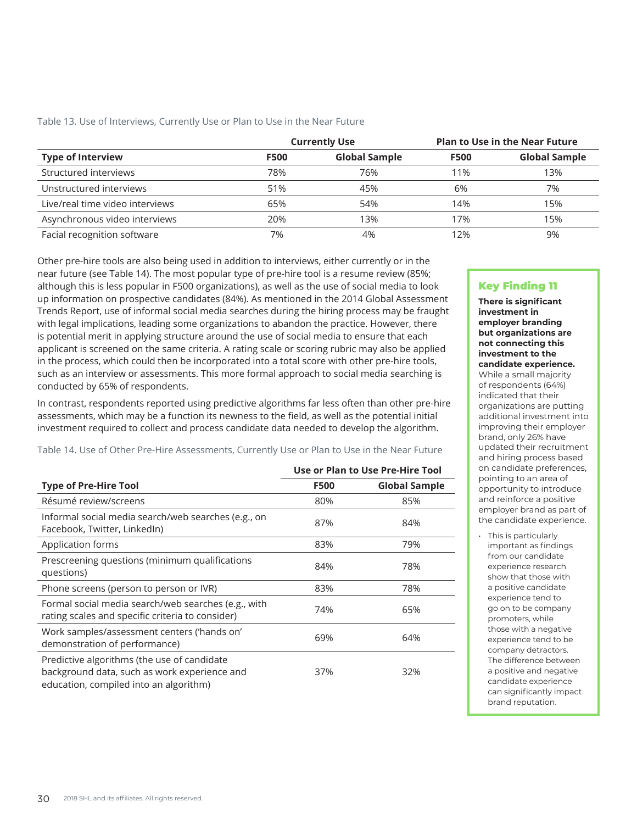|                                 |             | <b>Currently Use</b> | <b>Plan to Use in the Near Future</b> |                      |  |
|---------------------------------|-------------|----------------------|---------------------------------------|----------------------|--|
| <b>Type of Interview</b>        | <b>F500</b> | <b>Global Sample</b> | <b>F500</b>                           | <b>Global Sample</b> |  |
| Structured interviews           | 78%         | 76%                  | 11%                                   | 13%                  |  |
| Unstructured interviews         | 51%         | 45%                  | 6%                                    | 7%                   |  |
| Live/real time video interviews | 65%         | 54%                  | 14%                                   | 15%                  |  |
| Asynchronous video interviews   | 20%         | 13%                  | 17%                                   | 15%                  |  |
| Facial recognition software     | 7%          | 4%                   | 12%                                   | 9%                   |  |

Other pre-hire tools are also being used in addition to interviews, either currently or in the near future (see Table 14). The most popular type of pre-hire tool is a resume review (85%; although this is less popular in F500 organizations), as well as the use of social media to look up information on prospective candidates (84%). As mentioned in the 2014 Global Assessment Trends Report, use of informal social media searches during the hiring process may be fraught with legal implications, leading some organizations to abandon the practice. However, there is potential merit in applying structure around the use of social media to ensure that each applicant is screened on the same criteria. A rating scale or scoring rubric may also be applied in the process, which could then be incorporated into a total score with other pre-hire tools, such as an interview or assessments. This more formal approach to social media searching is conducted by 65% of respondents.

In contrast, respondents reported using predictive algorithms far less often than other pre-hire assessments, which may be a function its newness to the field, as well as the potential initial investment required to collect and process candidate data needed to develop the algorithm.

#### Table 14. Use of Other Pre-Hire Assessments, Currently Use or Plan to Use in the Near Future

|                                                                                                                                       | Use or Plan to Use Pre-Hire Tool |                      |  |  |
|---------------------------------------------------------------------------------------------------------------------------------------|----------------------------------|----------------------|--|--|
| <b>Type of Pre-Hire Tool</b>                                                                                                          | <b>F500</b>                      | <b>Global Sample</b> |  |  |
| Résumé review/screens                                                                                                                 | 80%                              | 85%                  |  |  |
| Informal social media search/web searches (e.g., on<br>Facebook, Twitter, LinkedIn)                                                   | 87%                              | 84%                  |  |  |
| Application forms                                                                                                                     | 83%                              | 79%                  |  |  |
| Prescreening questions (minimum qualifications<br>questions)                                                                          | 84%                              | 78%                  |  |  |
| Phone screens (person to person or IVR)                                                                                               | 83%                              | 78%                  |  |  |
| Formal social media search/web searches (e.g., with<br>rating scales and specific criteria to consider)                               | 74%                              | 65%                  |  |  |
| Work samples/assessment centers ('hands on'<br>demonstration of performance)                                                          | 69%                              | 64%                  |  |  |
| Predictive algorithms (the use of candidate<br>background data, such as work experience and<br>education, compiled into an algorithm) | 37%                              | 32%                  |  |  |

## Key Finding 11

**There is significant investment in employer branding but organizations are not connecting this investment to the candidate experience.** 

While a small majority of respondents (64%) indicated that their organizations are putting additional investment into improving their employer brand, only 26% have updated their recruitment and hiring process based on candidate preferences, pointing to an area of opportunity to introduce and reinforce a positive employer brand as part of the candidate experience.

• This is particularly important as findings from our candidate experience research show that those with a positive candidate experience tend to go on to be company promoters, while those with a negative experience tend to be company detractors. The difference between a positive and negative candidate experience can significantly impact brand reputation.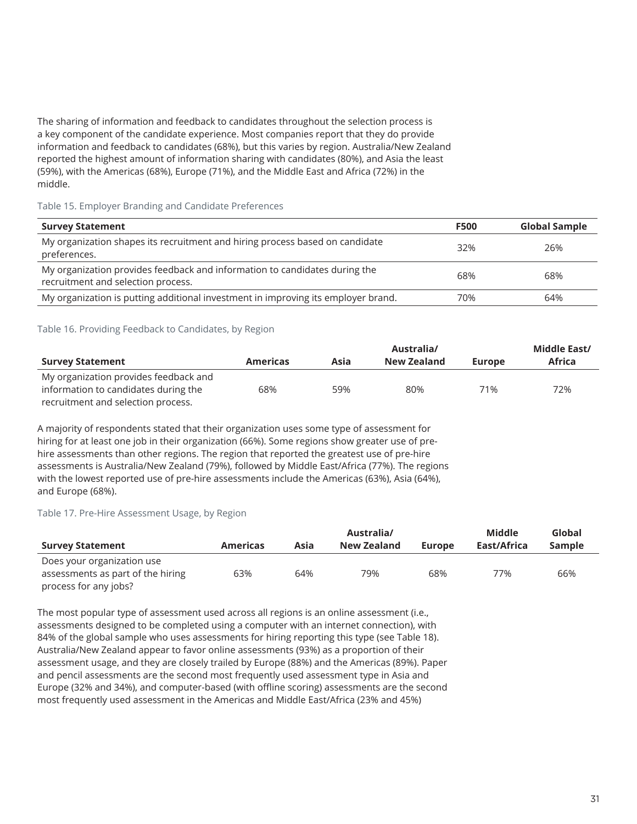The sharing of information and feedback to candidates throughout the selection process is a key component of the candidate experience. Most companies report that they do provide information and feedback to candidates (68%), but this varies by region. Australia/New Zealand reported the highest amount of information sharing with candidates (80%), and Asia the least (59%), with the Americas (68%), Europe (71%), and the Middle East and Africa (72%) in the middle.

#### Table 15. Employer Branding and Candidate Preferences

| <b>Survey Statement</b>                                                                                          | <b>F500</b> | <b>Global Sample</b> |
|------------------------------------------------------------------------------------------------------------------|-------------|----------------------|
| My organization shapes its recruitment and hiring process based on candidate<br>preferences.                     | 32%         | 26%                  |
| My organization provides feedback and information to candidates during the<br>recruitment and selection process. | 68%         | 68%                  |
| My organization is putting additional investment in improving its employer brand.                                | 70%         | 64%                  |

## Table 16. Providing Feedback to Candidates, by Region

|                                       |                 |      | Australia/         |        | Middle East/ |
|---------------------------------------|-----------------|------|--------------------|--------|--------------|
| <b>Survey Statement</b>               | <b>Americas</b> | Asia | <b>New Zealand</b> | Europe | Africa       |
| My organization provides feedback and |                 |      |                    |        |              |
| information to candidates during the  | 68%             | 59%  | 80%                | 71%    | 72%          |
| recruitment and selection process.    |                 |      |                    |        |              |

A majority of respondents stated that their organization uses some type of assessment for hiring for at least one job in their organization (66%). Some regions show greater use of prehire assessments than other regions. The region that reported the greatest use of pre-hire assessments is Australia/New Zealand (79%), followed by Middle East/Africa (77%). The regions with the lowest reported use of pre-hire assessments include the Americas (63%), Asia (64%), and Europe (68%).

#### Table 17. Pre-Hire Assessment Usage, by Region

|                                   |                 |      | Australia/  |               | <b>Middle</b> | Global        |
|-----------------------------------|-----------------|------|-------------|---------------|---------------|---------------|
| <b>Survey Statement</b>           | <b>Americas</b> | Asia | New Zealand | <b>Europe</b> | East/Africa   | <b>Sample</b> |
| Does your organization use        |                 |      |             |               |               |               |
| assessments as part of the hiring | 63%             | 64%  | 79%         | 68%           | 77%           | 66%           |
| process for any jobs?             |                 |      |             |               |               |               |

The most popular type of assessment used across all regions is an online assessment (i.e., assessments designed to be completed using a computer with an internet connection), with 84% of the global sample who uses assessments for hiring reporting this type (see Table 18). Australia/New Zealand appear to favor online assessments (93%) as a proportion of their assessment usage, and they are closely trailed by Europe (88%) and the Americas (89%). Paper and pencil assessments are the second most frequently used assessment type in Asia and Europe (32% and 34%), and computer-based (with offline scoring) assessments are the second most frequently used assessment in the Americas and Middle East/Africa (23% and 45%)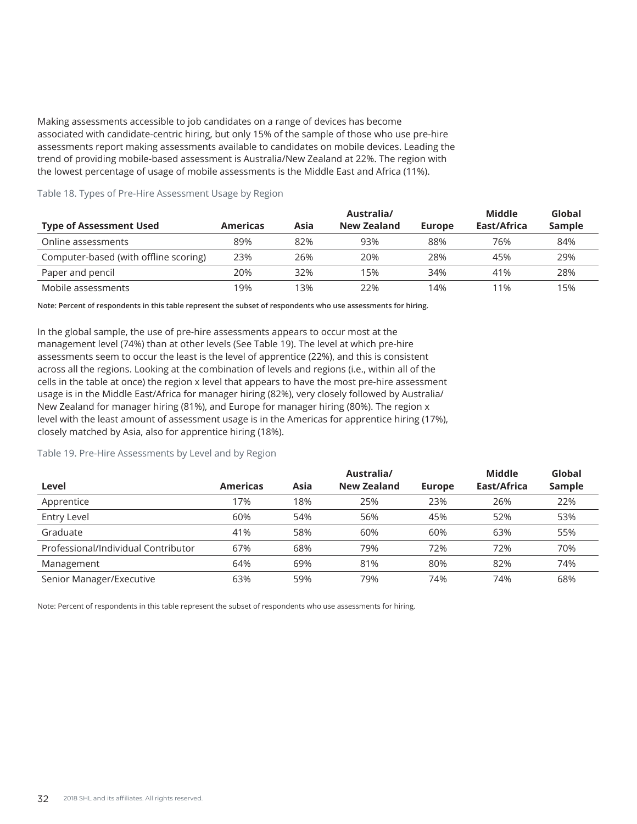Making assessments accessible to job candidates on a range of devices has become associated with candidate-centric hiring, but only 15% of the sample of those who use pre-hire assessments report making assessments available to candidates on mobile devices. Leading the trend of providing mobile-based assessment is Australia/New Zealand at 22%. The region with the lowest percentage of usage of mobile assessments is the Middle East and Africa (11%).

|                                       | <b>Americas</b> | Asia | Australia/<br>New Zealand |               | Middle<br>East/Africa | Global |
|---------------------------------------|-----------------|------|---------------------------|---------------|-----------------------|--------|
| <b>Type of Assessment Used</b>        |                 |      |                           | <b>Europe</b> |                       | Sample |
| Online assessments                    | 89%             | 82%  | 93%                       | 88%           | 76%                   | 84%    |
| Computer-based (with offline scoring) | 23%             | 26%  | 20%                       | 28%           | 45%                   | 29%    |
| Paper and pencil                      | 20%             | 32%  | 15%                       | 34%           | 41%                   | 28%    |
| Mobile assessments                    | ' 9%            | '3%  | 22%                       | 14%           | 11%                   | 15%    |

Table 18. Types of Pre-Hire Assessment Usage by Region

**Note: Percent of respondents in this table represent the subset of respondents who use assessments for hiring.**

In the global sample, the use of pre-hire assessments appears to occur most at the management level (74%) than at other levels (See Table 19). The level at which pre-hire assessments seem to occur the least is the level of apprentice (22%), and this is consistent across all the regions. Looking at the combination of levels and regions (i.e., within all of the cells in the table at once) the region x level that appears to have the most pre-hire assessment usage is in the Middle East/Africa for manager hiring (82%), very closely followed by Australia/ New Zealand for manager hiring (81%), and Europe for manager hiring (80%). The region x level with the least amount of assessment usage is in the Americas for apprentice hiring (17%), closely matched by Asia, also for apprentice hiring (18%).

Table 19. Pre-Hire Assessments by Level and by Region

|                                     |                 |      | Middle      | Global        |             |        |
|-------------------------------------|-----------------|------|-------------|---------------|-------------|--------|
| Level                               | <b>Americas</b> | Asia | New Zealand | <b>Europe</b> | East/Africa | Sample |
| Apprentice                          | 17%             | 18%  | 25%         | 23%           | 26%         | 22%    |
| <b>Entry Level</b>                  | 60%             | 54%  | 56%         | 45%           | 52%         | 53%    |
| Graduate                            | 41%             | 58%  | 60%         | 60%           | 63%         | 55%    |
| Professional/Individual Contributor | 67%             | 68%  | 79%         | 72%           | 72%         | 70%    |
| Management                          | 64%             | 69%  | 81%         | 80%           | 82%         | 74%    |
| Senior Manager/Executive            | 63%             | 59%  | 79%         | 74%           | 74%         | 68%    |

Note: Percent of respondents in this table represent the subset of respondents who use assessments for hiring.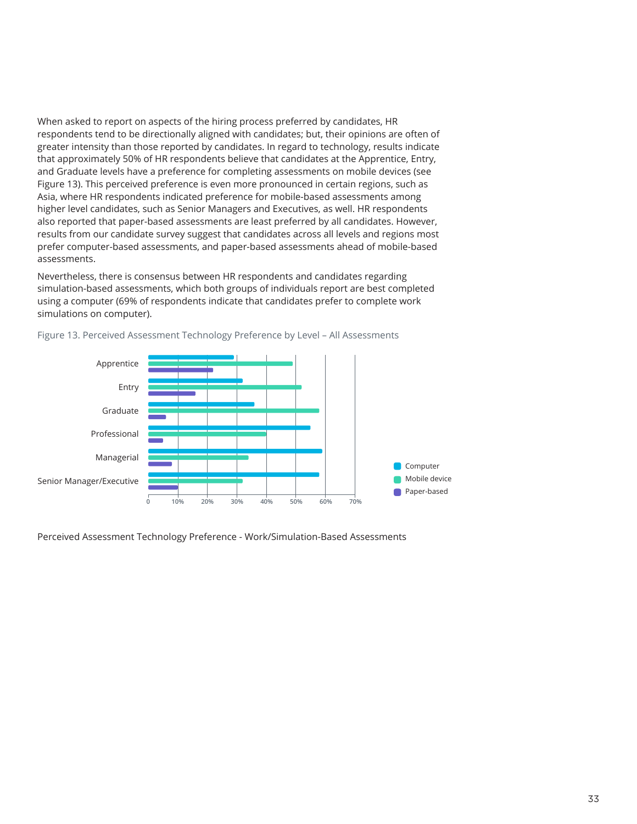When asked to report on aspects of the hiring process preferred by candidates, HR respondents tend to be directionally aligned with candidates; but, their opinions are often of greater intensity than those reported by candidates. In regard to technology, results indicate that approximately 50% of HR respondents believe that candidates at the Apprentice, Entry, and Graduate levels have a preference for completing assessments on mobile devices (see Figure 13). This perceived preference is even more pronounced in certain regions, such as Asia, where HR respondents indicated preference for mobile-based assessments among higher level candidates, such as Senior Managers and Executives, as well. HR respondents also reported that paper-based assessments are least preferred by all candidates. However, results from our candidate survey suggest that candidates across all levels and regions most prefer computer-based assessments, and paper-based assessments ahead of mobile-based assessments.

Nevertheless, there is consensus between HR respondents and candidates regarding simulation-based assessments, which both groups of individuals report are best completed using a computer (69% of respondents indicate that candidates prefer to complete work simulations on computer).



Figure 13. Perceived Assessment Technology Preference by Level – All Assessments

Perceived Assessment Technology Preference - Work/Simulation-Based Assessments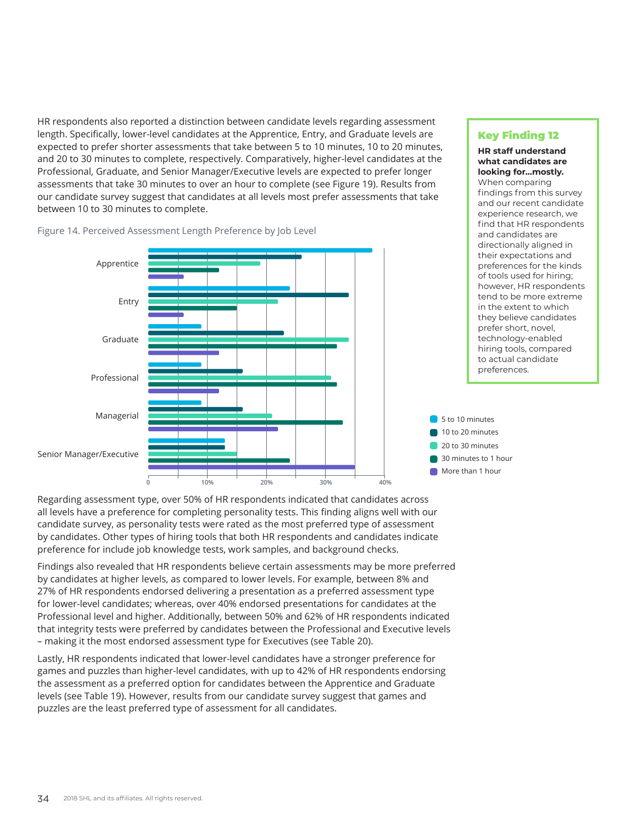HR respondents also reported a distinction between candidate levels regarding assessment length. Specifically, lower-level candidates at the Apprentice, Entry, and Graduate levels are expected to prefer shorter assessments that take between 5 to 10 minutes, 10 to 20 minutes, and 20 to 30 minutes to complete, respectively. Comparatively, higher-level candidates at the Professional, Graduate, and Senior Manager/Executive levels are expected to prefer longer assessments that take 30 minutes to over an hour to complete (see Figure 19). Results from our candidate survey suggest that candidates at all levels most prefer assessments that take between 10 to 30 minutes to complete.

Figure 14. Perceived Assessment Length Preference by Job Level



Regarding assessment type, over 50% of HR respondents indicated that candidates across all levels have a preference for completing personality tests. This finding aligns well with our candidate survey, as personality tests were rated as the most preferred type of assessment by candidates. Other types of hiring tools that both HR respondents and candidates indicate preference for include job knowledge tests, work samples, and background checks.

Findings also revealed that HR respondents believe certain assessments may be more preferred by candidates at higher levels, as compared to lower levels. For example, between 8% and 27% of HR respondents endorsed delivering a presentation as a preferred assessment type for lower-level candidates; whereas, over 40% endorsed presentations for candidates at the Professional level and higher. Additionally, between 50% and 62% of HR respondents indicated that integrity tests were preferred by candidates between the Professional and Executive levels – making it the most endorsed assessment type for Executives (see Table 20).

Lastly, HR respondents indicated that lower-level candidates have a stronger preference for games and puzzles than higher-level candidates, with up to 42% of HR respondents endorsing the assessment as a preferred option for candidates between the Apprentice and Graduate levels (see Table 19). However, results from our candidate survey suggest that games and puzzles are the least preferred type of assessment for all candidates.

## Key Finding 12

#### **HR staff understand what candidates are looking for…mostly.**

When comparing findings from this survey and our recent candidate experience research, we find that HR respondents and candidates are directionally aligned in their expectations and preferences for the kinds of tools used for hiring; however, HR respondents tend to be more extreme in the extent to which they believe candidates prefer short, novel, technology-enabled hiring tools, compared to actual candidate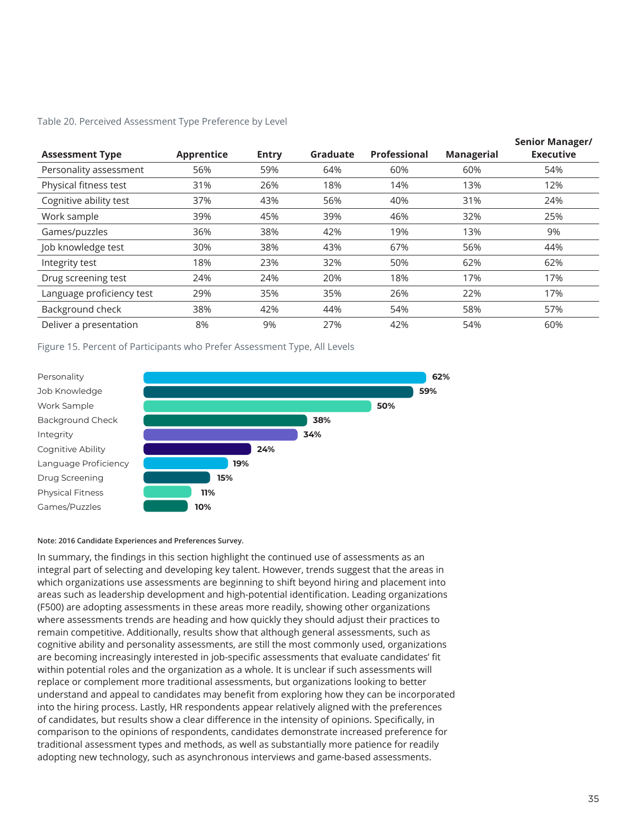|  | Table 20. Perceived Assessment Type Preference by Level |  |  |
|--|---------------------------------------------------------|--|--|
|  |                                                         |  |  |

| <b>Assessment Type</b>    | <b>Apprentice</b> | <b>Entry</b> | Graduate | <b>Professional</b> | <b>Managerial</b> | <b>Senior Manager/</b><br><b>Executive</b> |
|---------------------------|-------------------|--------------|----------|---------------------|-------------------|--------------------------------------------|
| Personality assessment    | 56%               | 59%          | 64%      | 60%                 | 60%               | 54%                                        |
| Physical fitness test     | 31%               | 26%          | 18%      | 14%                 | 13%               | 12%                                        |
| Cognitive ability test    | 37%               | 43%          | 56%      | 40%                 | 31%               | 24%                                        |
| Work sample               | 39%               | 45%          | 39%      | 46%                 | 32%               | 25%                                        |
| Games/puzzles             | 36%               | 38%          | 42%      | 19%                 | 13%               | 9%                                         |
| Job knowledge test        | 30%               | 38%          | 43%      | 67%                 | 56%               | 44%                                        |
| Integrity test            | 18%               | 23%          | 32%      | 50%                 | 62%               | 62%                                        |
| Drug screening test       | 24%               | 24%          | 20%      | 18%                 | 17%               | 17%                                        |
| Language proficiency test | 29%               | 35%          | 35%      | 26%                 | 22%               | 17%                                        |
| Background check          | 38%               | 42%          | 44%      | 54%                 | 58%               | 57%                                        |
| Deliver a presentation    | 8%                | 9%           | 27%      | 42%                 | 54%               | 60%                                        |

Figure 15. Percent of Participants who Prefer Assessment Type, All Levels



#### **Note: 2016 Candidate Experiences and Preferences Survey.**

In summary, the findings in this section highlight the continued use of assessments as an integral part of selecting and developing key talent. However, trends suggest that the areas in which organizations use assessments are beginning to shift beyond hiring and placement into areas such as leadership development and high-potential identification. Leading organizations (F500) are adopting assessments in these areas more readily, showing other organizations where assessments trends are heading and how quickly they should adjust their practices to remain competitive. Additionally, results show that although general assessments, such as cognitive ability and personality assessments, are still the most commonly used, organizations are becoming increasingly interested in job-specific assessments that evaluate candidates' fit within potential roles and the organization as a whole. It is unclear if such assessments will replace or complement more traditional assessments, but organizations looking to better understand and appeal to candidates may benefit from exploring how they can be incorporated into the hiring process. Lastly, HR respondents appear relatively aligned with the preferences of candidates, but results show a clear difference in the intensity of opinions. Specifically, in comparison to the opinions of respondents, candidates demonstrate increased preference for traditional assessment types and methods, as well as substantially more patience for readily adopting new technology, such as asynchronous interviews and game-based assessments.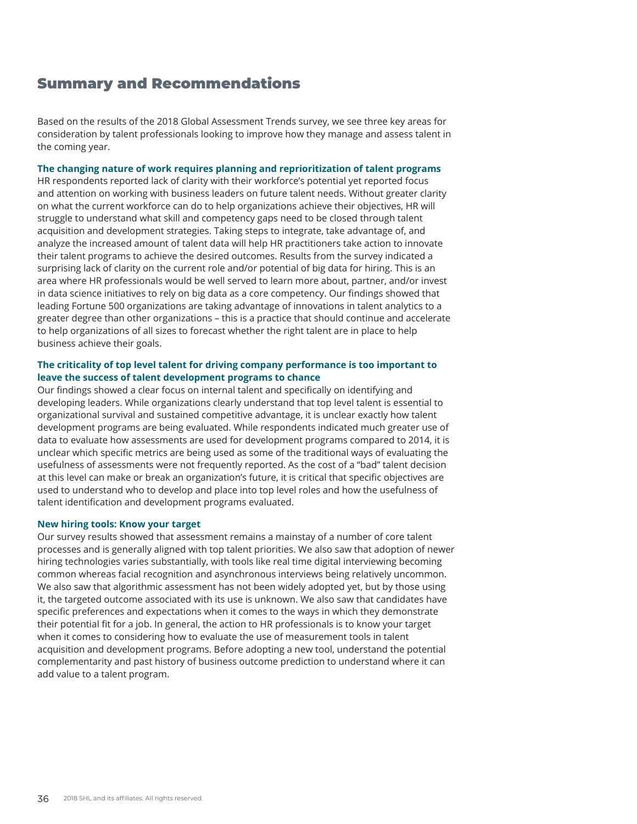# Summary and Recommendations

Based on the results of the 2018 Global Assessment Trends survey, we see three key areas for consideration by talent professionals looking to improve how they manage and assess talent in the coming year.

**The changing nature of work requires planning and reprioritization of talent programs** HR respondents reported lack of clarity with their workforce's potential yet reported focus and attention on working with business leaders on future talent needs. Without greater clarity on what the current workforce can do to help organizations achieve their objectives, HR will struggle to understand what skill and competency gaps need to be closed through talent acquisition and development strategies. Taking steps to integrate, take advantage of, and analyze the increased amount of talent data will help HR practitioners take action to innovate their talent programs to achieve the desired outcomes. Results from the survey indicated a surprising lack of clarity on the current role and/or potential of big data for hiring. This is an area where HR professionals would be well served to learn more about, partner, and/or invest in data science initiatives to rely on big data as a core competency. Our findings showed that leading Fortune 500 organizations are taking advantage of innovations in talent analytics to a greater degree than other organizations – this is a practice that should continue and accelerate to help organizations of all sizes to forecast whether the right talent are in place to help business achieve their goals.

#### **The criticality of top level talent for driving company performance is too important to leave the success of talent development programs to chance**

Our findings showed a clear focus on internal talent and specifically on identifying and developing leaders. While organizations clearly understand that top level talent is essential to organizational survival and sustained competitive advantage, it is unclear exactly how talent development programs are being evaluated. While respondents indicated much greater use of data to evaluate how assessments are used for development programs compared to 2014, it is unclear which specific metrics are being used as some of the traditional ways of evaluating the usefulness of assessments were not frequently reported. As the cost of a "bad" talent decision at this level can make or break an organization's future, it is critical that specific objectives are used to understand who to develop and place into top level roles and how the usefulness of talent identification and development programs evaluated.

#### **New hiring tools: Know your target**

Our survey results showed that assessment remains a mainstay of a number of core talent processes and is generally aligned with top talent priorities. We also saw that adoption of newer hiring technologies varies substantially, with tools like real time digital interviewing becoming common whereas facial recognition and asynchronous interviews being relatively uncommon. We also saw that algorithmic assessment has not been widely adopted yet, but by those using it, the targeted outcome associated with its use is unknown. We also saw that candidates have specific preferences and expectations when it comes to the ways in which they demonstrate their potential fit for a job. In general, the action to HR professionals is to know your target when it comes to considering how to evaluate the use of measurement tools in talent acquisition and development programs. Before adopting a new tool, understand the potential complementarity and past history of business outcome prediction to understand where it can add value to a talent program.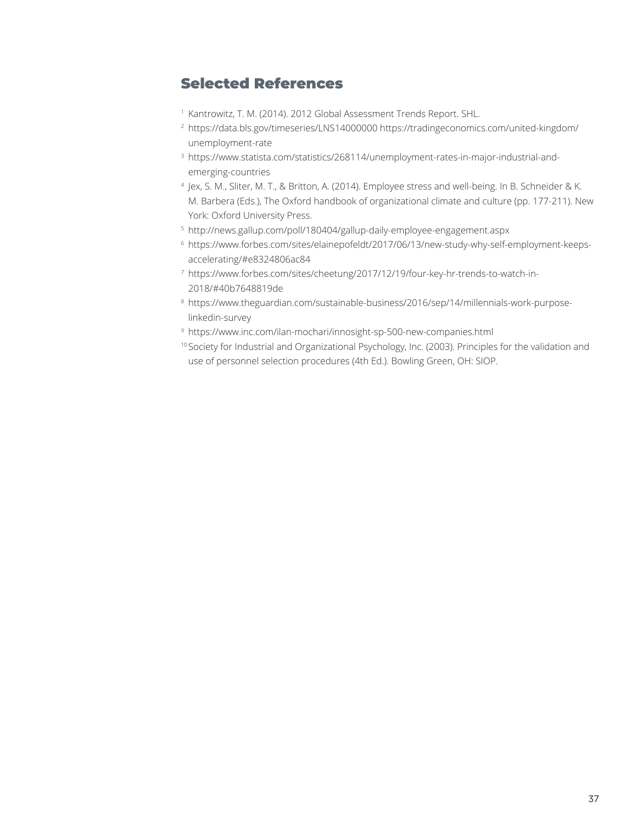# Selected References

- <sup>1</sup> Kantrowitz, T. M. (2014). 2012 Global Assessment Trends Report. SHL.
- <sup>2</sup> <https://data.bls.gov/timeseries/LNS14000000> https://tradingeconomics.com/united-kingdom/ unemployment-rate
- <sup>3</sup> https://www.statista.com/statistics/268114/unemployment-rates-in-major-industrial-andemerging-countries
- <sup>4</sup> Jex, S. M., Sliter, M. T., & Britton, A. (2014). Employee stress and well-being. In B. Schneider & K. M. Barbera (Eds.), The Oxford handbook of organizational climate and culture (pp. 177-211). New York: Oxford University Press.
- <sup>5</sup> http://news.gallup.com/poll/180404/gallup-daily-employee-engagement.aspx
- <sup>6</sup> https://www.forbes.com/sites/elainepofeldt/2017/06/13/new-study-why-self-employment-keepsaccelerating/#e8324806ac84
- <sup>7</sup> https://www.forbes.com/sites/cheetung/2017/12/19/four-key-hr-trends-to-watch-in-2018/#40b7648819de
- <sup>8</sup> https://www.theguardian.com/sustainable-business/2016/sep/14/millennials-work-purposelinkedin-survey
- <sup>9</sup> https://www.inc.com/ilan-mochari/innosight-sp-500-new-companies.html
- <sup>10</sup> Society for Industrial and Organizational Psychology, Inc. (2003). Principles for the validation and use of personnel selection procedures (4th Ed.). Bowling Green, OH: SIOP.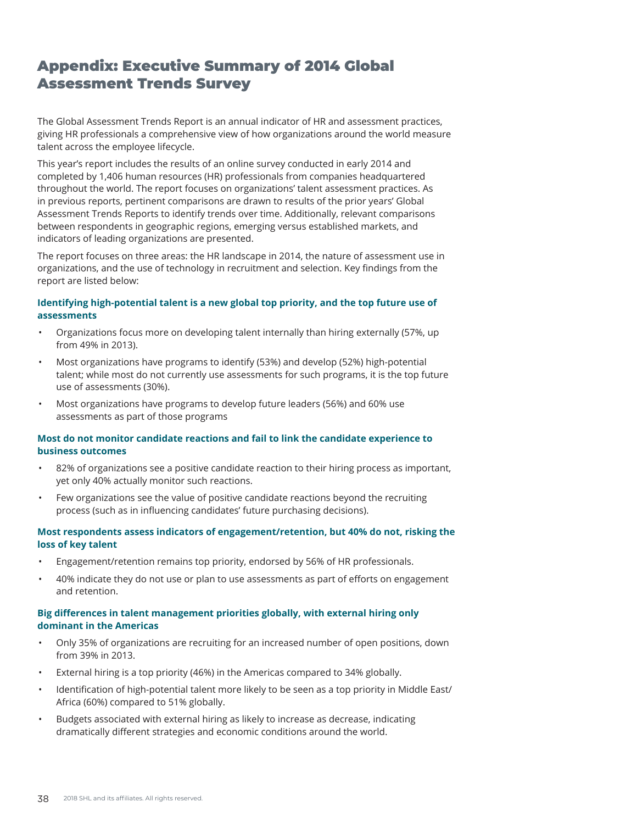# Appendix: Executive Summary of 2014 Global Assessment Trends Survey

The Global Assessment Trends Report is an annual indicator of HR and assessment practices, giving HR professionals a comprehensive view of how organizations around the world measure talent across the employee lifecycle.

This year's report includes the results of an online survey conducted in early 2014 and completed by 1,406 human resources (HR) professionals from companies headquartered throughout the world. The report focuses on organizations' talent assessment practices. As in previous reports, pertinent comparisons are drawn to results of the prior years' Global Assessment Trends Reports to identify trends over time. Additionally, relevant comparisons between respondents in geographic regions, emerging versus established markets, and indicators of leading organizations are presented.

The report focuses on three areas: the HR landscape in 2014, the nature of assessment use in organizations, and the use of technology in recruitment and selection. Key findings from the report are listed below:

#### **Identifying high-potential talent is a new global top priority, and the top future use of assessments**

- Organizations focus more on developing talent internally than hiring externally (57%, up from 49% in 2013).
- Most organizations have programs to identify (53%) and develop (52%) high-potential talent; while most do not currently use assessments for such programs, it is the top future use of assessments (30%).
- Most organizations have programs to develop future leaders (56%) and 60% use assessments as part of those programs

#### **Most do not monitor candidate reactions and fail to link the candidate experience to business outcomes**

- 82% of organizations see a positive candidate reaction to their hiring process as important, yet only 40% actually monitor such reactions.
- Few organizations see the value of positive candidate reactions beyond the recruiting process (such as in influencing candidates' future purchasing decisions).

## **Most respondents assess indicators of engagement/retention, but 40% do not, risking the loss of key talent**

- Engagement/retention remains top priority, endorsed by 56% of HR professionals.
- 40% indicate they do not use or plan to use assessments as part of efforts on engagement and retention.

## **Big differences in talent management priorities globally, with external hiring only dominant in the Americas**

- Only 35% of organizations are recruiting for an increased number of open positions, down from 39% in 2013.
- External hiring is a top priority (46%) in the Americas compared to 34% globally.
- Identification of high-potential talent more likely to be seen as a top priority in Middle East/ Africa (60%) compared to 51% globally.
- Budgets associated with external hiring as likely to increase as decrease, indicating dramatically different strategies and economic conditions around the world.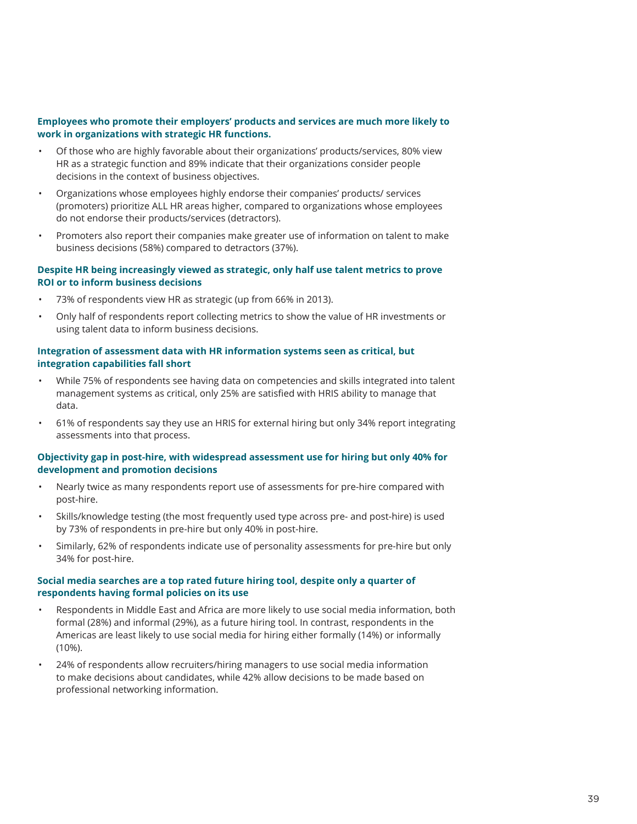#### **Employees who promote their employers' products and services are much more likely to work in organizations with strategic HR functions.**

- Of those who are highly favorable about their organizations' products/services, 80% view HR as a strategic function and 89% indicate that their organizations consider people decisions in the context of business objectives.
- Organizations whose employees highly endorse their companies' products/ services (promoters) prioritize ALL HR areas higher, compared to organizations whose employees do not endorse their products/services (detractors).
- Promoters also report their companies make greater use of information on talent to make business decisions (58%) compared to detractors (37%).

#### **Despite HR being increasingly viewed as strategic, only half use talent metrics to prove ROI or to inform business decisions**

- 73% of respondents view HR as strategic (up from 66% in 2013).
- Only half of respondents report collecting metrics to show the value of HR investments or using talent data to inform business decisions.

#### **Integration of assessment data with HR information systems seen as critical, but integration capabilities fall short**

- While 75% of respondents see having data on competencies and skills integrated into talent management systems as critical, only 25% are satisfied with HRIS ability to manage that data.
- 61% of respondents say they use an HRIS for external hiring but only 34% report integrating assessments into that process.

#### **Objectivity gap in post-hire, with widespread assessment use for hiring but only 40% for development and promotion decisions**

- Nearly twice as many respondents report use of assessments for pre-hire compared with post-hire.
- Skills/knowledge testing (the most frequently used type across pre- and post-hire) is used by 73% of respondents in pre-hire but only 40% in post-hire.
- Similarly, 62% of respondents indicate use of personality assessments for pre-hire but only 34% for post-hire.

## **Social media searches are a top rated future hiring tool, despite only a quarter of respondents having formal policies on its use**

- Respondents in Middle East and Africa are more likely to use social media information, both formal (28%) and informal (29%), as a future hiring tool. In contrast, respondents in the Americas are least likely to use social media for hiring either formally (14%) or informally (10%).
- 24% of respondents allow recruiters/hiring managers to use social media information to make decisions about candidates, while 42% allow decisions to be made based on professional networking information.